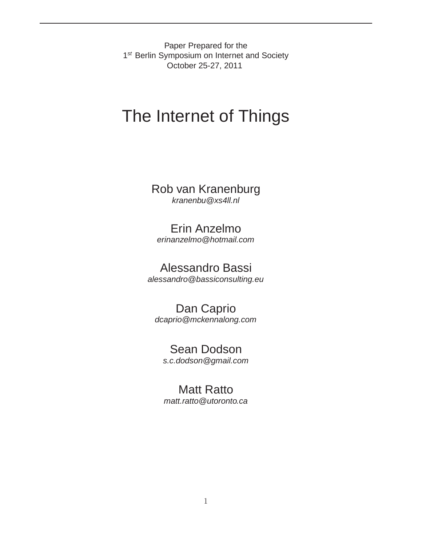Paper Prepared for the 1<sup>st</sup> Berlin Symposium on Internet and Society October 25-27, 2011

# The Internet of Things

Rob van Kranenburg kranenbu@xs4ll.nl

## Erin Anzelmo

erinanzelmo@hotmail.com

Alessandro Bassi

alessandro@bassiconsulting.eu

## Dan Caprio

dcaprio@mckennalong.com

#### Sean Dodson

s.c.dodson@gmail.com

## Matt Ratto

matt.ratto@utoronto.ca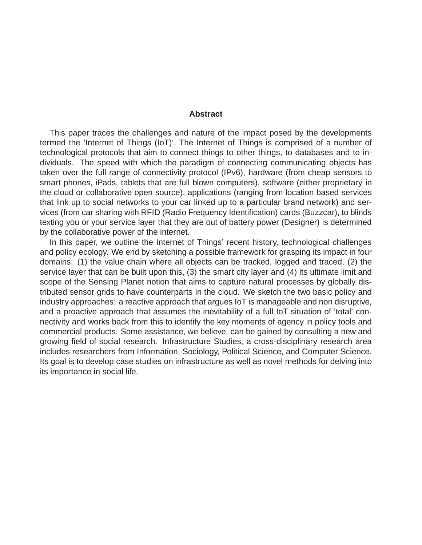#### **Abstract**

This paper traces the challenges and nature of the impact posed by the developments termed the 'Internet of Things (IoT)'. The Internet of Things is comprised of a number of technological protocols that aim to connect things to other things, to databases and to individuals. The speed with which the paradigm of connecting communicating objects has taken over the full range of connectivity protocol (IPv6), hardware (from cheap sensors to smart phones, iPads, tablets that are full blown computers), software (either proprietary in the cloud or collaborative open source), applications (ranging from location based services that link up to social networks to your car linked up to a particular brand network) and services (from car sharing with RFID (Radio Frequency Identification) cards (Buzzcar), to blinds texting you or your service layer that they are out of battery power (Designer) is determined by the collaborative power of the internet.

In this paper, we outline the Internet of Things' recent history, technological challenges and policy ecology. We end by sketching a possible framework for grasping its impact in four domains: (1) the value chain where all objects can be tracked, logged and traced, (2) the service layer that can be built upon this, (3) the smart city layer and (4) its ultimate limit and scope of the Sensing Planet notion that aims to capture natural processes by globally distributed sensor grids to have counterparts in the cloud. We sketch the two basic policy and industry approaches: a reactive approach that argues IoT is manageable and non disruptive, and a proactive approach that assumes the inevitability of a full IoT situation of 'total' connectivity and works back from this to identify the key moments of agency in policy tools and commercial products. Some assistance, we believe, can be gained by consulting a new and growing field of social research. Infrastructure Studies, a cross-disciplinary research area includes researchers from Information, Sociology, Political Science, and Computer Science. Its goal is to develop case studies on infrastructure as well as novel methods for delving into its importance in social life.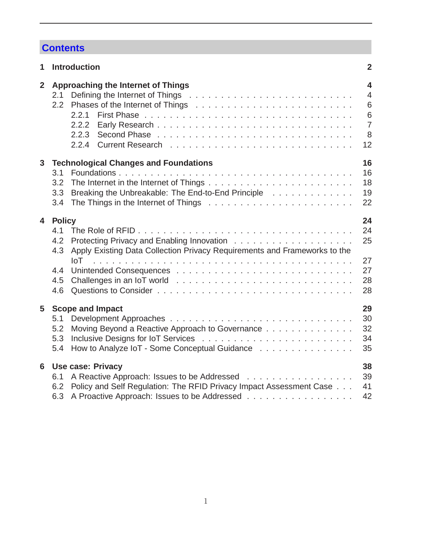# **Contents**

| 1                       | <b>Introduction</b><br>$\overline{2}$                                                                                                                                                                               |                                                                                                              |  |  |  |
|-------------------------|---------------------------------------------------------------------------------------------------------------------------------------------------------------------------------------------------------------------|--------------------------------------------------------------------------------------------------------------|--|--|--|
| $\overline{2}$          | Approaching the Internet of Things<br>2.1<br>2.2<br>2.2.1<br>2.2.2<br>2.2.3<br>2.2.4                                                                                                                                | $\overline{\mathbf{4}}$<br>$\overline{4}$<br>$6\phantom{1}6$<br>$6\phantom{1}6$<br>$\overline{7}$<br>8<br>12 |  |  |  |
| $\mathbf{3}$            | <b>Technological Changes and Foundations</b><br>3.1<br>3.2<br>Breaking the Unbreakable: The End-to-End Principle<br>3.3<br>3.4                                                                                      | 16<br>16<br>18<br>19<br>22                                                                                   |  |  |  |
| $\overline{\mathbf{4}}$ | <b>Policy</b><br>4.1<br>4.2<br>Apply Existing Data Collection Privacy Requirements and Frameworks to the<br>4.3<br>ToT<br>4.4<br>4.5<br>4.6                                                                         | 24<br>24<br>25<br>27<br>27<br>28<br>28                                                                       |  |  |  |
| 5                       | <b>Scope and Impact</b><br>5.1<br>Moving Beyond a Reactive Approach to Governance<br>5.2<br>5.3<br>How to Analyze IoT - Some Conceptual Guidance<br>5.4                                                             | 29<br>30<br>32<br>34<br>35                                                                                   |  |  |  |
| 6                       | <b>Use case: Privacy</b><br>A Reactive Approach: Issues to be Addressed<br>6.1<br>Policy and Self Regulation: The RFID Privacy Impact Assessment Case<br>6.2<br>A Proactive Approach: Issues to be Addressed<br>6.3 | 38<br>39<br>41<br>42                                                                                         |  |  |  |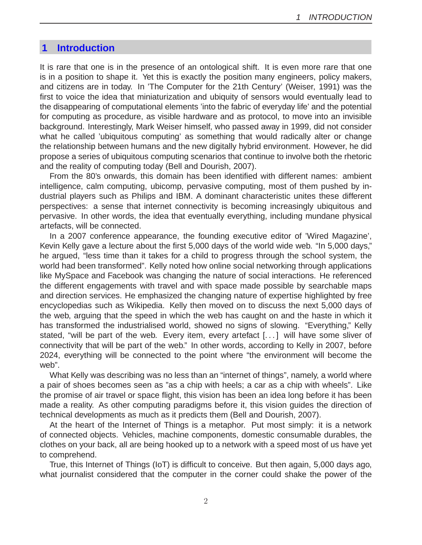#### **1 Introduction**

It is rare that one is in the presence of an ontological shift. It is even more rare that one is in a position to shape it. Yet this is exactly the position many engineers, policy makers, and citizens are in today. In 'The Computer for the 21th Century' (Weiser, 1991) was the first to voice the idea that miniaturization and ubiquity of sensors would eventually lead to the disappearing of computational elements 'into the fabric of everyday life' and the potential for computing as procedure, as visible hardware and as protocol, to move into an invisible background. Interestingly, Mark Weiser himself, who passed away in 1999, did not consider what he called 'ubiquitous computing' as something that would radically alter or change the relationship between humans and the new digitally hybrid environment. However, he did propose a series of ubiquitous computing scenarios that continue to involve both the rhetoric and the reality of computing today (Bell and Dourish, 2007).

From the 80's onwards, this domain has been identified with different names: ambient intelligence, calm computing, ubicomp, pervasive computing, most of them pushed by industrial players such as Philips and IBM. A dominant characteristic unites these different perspectives: a sense that internet connectivity is becoming increasingly ubiquitous and pervasive. In other words, the idea that eventually everything, including mundane physical artefacts, will be connected.

In a 2007 conference appearance, the founding executive editor of 'Wired Magazine', Kevin Kelly gave a lecture about the first 5,000 days of the world wide web. "In 5,000 days," he argued, "less time than it takes for a child to progress through the school system, the world had been transformed". Kelly noted how online social networking through applications like MySpace and Facebook was changing the nature of social interactions. He referenced the different engagements with travel and with space made possible by searchable maps and direction services. He emphasized the changing nature of expertise highlighted by free encyclopedias such as Wikipedia. Kelly then moved on to discuss the next 5,000 days of the web, arguing that the speed in which the web has caught on and the haste in which it has transformed the industrialised world, showed no signs of slowing. "Everything," Kelly stated, "will be part of the web. Every item, every artefact [...] will have some sliver of connectivity that will be part of the web." In other words, according to Kelly in 2007, before 2024, everything will be connected to the point where "the environment will become the web".

What Kelly was describing was no less than an "internet of things", namely, a world where a pair of shoes becomes seen as "as a chip with heels; a car as a chip with wheels". Like the promise of air travel or space flight, this vision has been an idea long before it has been made a reality. As other computing paradigms before it, this vision guides the direction of technical developments as much as it predicts them (Bell and Dourish, 2007).

At the heart of the Internet of Things is a metaphor. Put most simply: it is a network of connected objects. Vehicles, machine components, domestic consumable durables, the clothes on your back, all are being hooked up to a network with a speed most of us have yet to comprehend.

True, this Internet of Things (IoT) is difficult to conceive. But then again, 5,000 days ago, what journalist considered that the computer in the corner could shake the power of the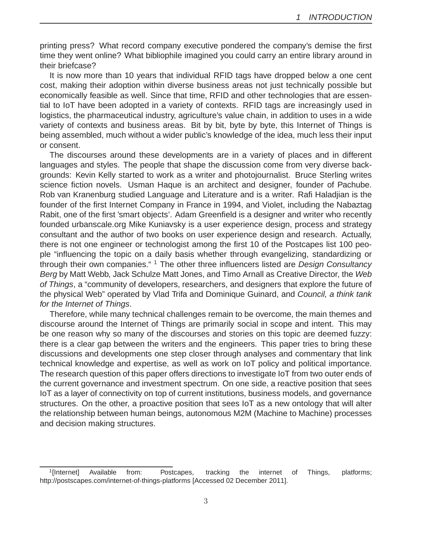printing press? What record company executive pondered the company's demise the first time they went online? What bibliophile imagined you could carry an entire library around in their briefcase?

It is now more than 10 years that individual RFID tags have dropped below a one cent cost, making their adoption within diverse business areas not just technically possible but economically feasible as well. Since that time, RFID and other technologies that are essential to IoT have been adopted in a variety of contexts. RFID tags are increasingly used in logistics, the pharmaceutical industry, agriculture's value chain, in addition to uses in a wide variety of contexts and business areas. Bit by bit, byte by byte, this Internet of Things is being assembled, much without a wider public's knowledge of the idea, much less their input or consent.

The discourses around these developments are in a variety of places and in different languages and styles. The people that shape the discussion come from very diverse backgrounds: Kevin Kelly started to work as a writer and photojournalist. Bruce Sterling writes science fiction novels. Usman Haque is an architect and designer, founder of Pachube. Rob van Kranenburg studied Language and Literature and is a writer. Rafi Haladjian is the founder of the first Internet Company in France in 1994, and Violet, including the Nabaztag Rabit, one of the first 'smart objects'. Adam Greenfield is a designer and writer who recently founded urbanscale.org Mike Kuniavsky is a user experience design, process and strategy consultant and the author of two books on user experience design and research. Actually, there is not one engineer or technologist among the first 10 of the Postcapes list 100 people "influencing the topic on a daily basis whether through evangelizing, standardizing or through their own companies."<sup>1</sup> The other three influencers listed are Design Consultancy Berg by Matt Webb, Jack Schulze Matt Jones, and Timo Arnall as Creative Director, the Web of Things, a "community of developers, researchers, and designers that explore the future of the physical Web" operated by Vlad Trifa and Dominique Guinard, and Council, a think tank for the Internet of Things.

Therefore, while many technical challenges remain to be overcome, the main themes and discourse around the Internet of Things are primarily social in scope and intent. This may be one reason why so many of the discourses and stories on this topic are deemed fuzzy: there is a clear gap between the writers and the engineers. This paper tries to bring these discussions and developments one step closer through analyses and commentary that link technical knowledge and expertise, as well as work on IoT policy and political importance. The research question of this paper offers directions to investigate IoT from two outer ends of the current governance and investment spectrum. On one side, a reactive position that sees IoT as a layer of connectivity on top of current institutions, business models, and governance structures. On the other, a proactive position that sees IoT as a new ontology that will alter the relationship between human beings, autonomous M2M (Machine to Machine) processes and decision making structures.

<sup>&</sup>lt;sup>1</sup>[Internet] [Internet] Available from: Postcapes, tracking the internet of Things, platforms; http://postscapes.com/internet-of-things-platforms [Accessed 02 December 2011].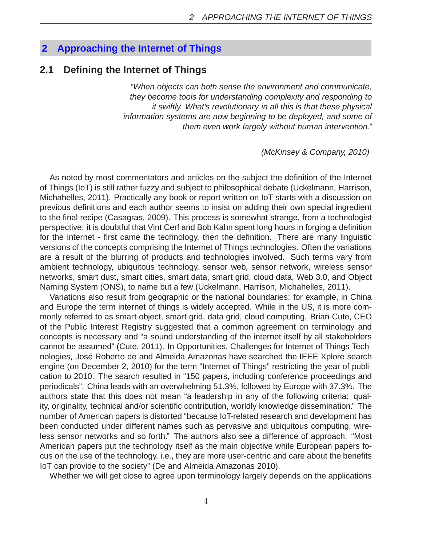#### **2 Approaching the Internet of Things**

#### **2.1 Defining the Internet of Things**

"When objects can both sense the environment and communicate, they become tools for understanding complexity and responding to it swiftly. What's revolutionary in all this is that these physical information systems are now beginning to be deployed, and some of them even work largely without human intervention."

(McKinsey & Company, 2010)

As noted by most commentators and articles on the subject the definition of the Internet of Things (IoT) is still rather fuzzy and subject to philosophical debate (Uckelmann, Harrison, Michahelles, 2011). Practically any book or report written on IoT starts with a discussion on previous definitions and each author seems to insist on adding their own special ingredient to the final recipe (Casagras, 2009). This process is somewhat strange, from a technologist perspective: it is doubtful that Vint Cerf and Bob Kahn spent long hours in forging a definition for the internet - first came the technology, then the definition. There are many linguistic versions of the concepts comprising the Internet of Things technologies. Often the variations are a result of the blurring of products and technologies involved. Such terms vary from ambient technology, ubiquitous technology, sensor web, sensor network, wireless sensor networks, smart dust, smart cities, smart data, smart grid, cloud data, Web 3.0, and Object Naming System (ONS), to name but a few (Uckelmann, Harrison, Michahelles, 2011).

Variations also result from geographic or the national boundaries; for example, in China and Europe the term internet of things is widely accepted. While in the US, it is more commonly referred to as smart object, smart grid, data grid, cloud computing. Brian Cute, CEO of the Public Interest Registry suggested that a common agreement on terminology and concepts is necessary and "a sound understanding of the internet itself by all stakeholders cannot be assumed" (Cute, 2011). In Opportunities, Challenges for Internet of Things Technologies, José Roberto de and Almeida Amazonas have searched the IEEE Xplore search engine (on December 2, 2010) for the term "Internet of Things" restricting the year of publication to 2010. The search resulted in "150 papers, including conference proceedings and periodicals". China leads with an overwhelming 51.3%, followed by Europe with 37.3%. The authors state that this does not mean "a leadership in any of the following criteria: quality, originality, technical and/or scientific contribution, worldly knowledge dissemination." The number of American papers is distorted "because IoT-related research and development has been conducted under different names such as pervasive and ubiquitous computing, wireless sensor networks and so forth." The authors also see a difference of approach: "Most American papers put the technology itself as the main objective while European papers focus on the use of the technology, i.e., they are more user-centric and care about the benefits IoT can provide to the society" (De and Almeida Amazonas 2010).

Whether we will get close to agree upon terminology largely depends on the applications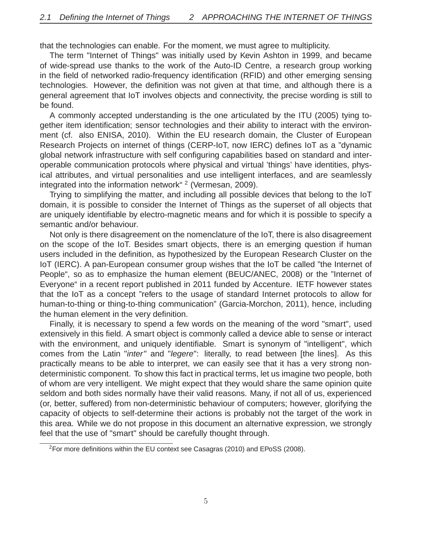that the technologies can enable. For the moment, we must agree to multiplicity.

The term "Internet of Things" was initially used by Kevin Ashton in 1999, and became of wide-spread use thanks to the work of the Auto-ID Centre, a research group working in the field of networked radio-frequency identification (RFID) and other emerging sensing technologies. However, the definition was not given at that time, and although there is a general agreement that IoT involves objects and connectivity, the precise wording is still to be found.

A commonly accepted understanding is the one articulated by the ITU (2005) tying together item identification; sensor technologies and their ability to interact with the environment (cf. also ENISA, 2010). Within the EU research domain, the Cluster of European Research Projects on internet of things (CERP-IoT, now IERC) defines IoT as a "dynamic global network infrastructure with self configuring capabilities based on standard and interoperable communication protocols where physical and virtual 'things' have identities, physical attributes, and virtual personalities and use intelligent interfaces, and are seamlessly integrated into the information network"<sup>2</sup> (Vermesan, 2009).

Trying to simplifying the matter, and including all possible devices that belong to the IoT domain, it is possible to consider the Internet of Things as the superset of all objects that are uniquely identifiable by electro-magnetic means and for which it is possible to specify a semantic and/or behaviour.

Not only is there disagreement on the nomenclature of the IoT, there is also disagreement on the scope of the IoT. Besides smart objects, there is an emerging question if human users included in the definition, as hypothesized by the European Research Cluster on the IoT (IERC). A pan-European consumer group wishes that the IoT be called "the Internet of People", so as to emphasize the human element (BEUC/ANEC, 2008) or the "Internet of Everyone" in a recent report published in 2011 funded by Accenture. IETF however states that the IoT as a concept "refers to the usage of standard Internet protocols to allow for human-to-thing or thing-to-thing communication" (Garcia-Morchon, 2011), hence, including the human element in the very definition.

Finally, it is necessary to spend a few words on the meaning of the word "smart", used extensively in this field. A smart object is commonly called a device able to sense or interact with the environment, and uniquely identifiable. Smart is synonym of "intelligent", which comes from the Latin "*inter*" and "legere": literally, to read between [the lines]. As this practically means to be able to interpret, we can easily see that it has a very strong nondeterministic component. To show this fact in practical terms, let us imagine two people, both of whom are very intelligent. We might expect that they would share the same opinion quite seldom and both sides normally have their valid reasons. Many, if not all of us, experienced (or, better, suffered) from non-deterministic behaviour of computers; however, glorifying the capacity of objects to self-determine their actions is probably not the target of the work in this area. While we do not propose in this document an alternative expression, we strongly feel that the use of "smart" should be carefully thought through.

<sup>&</sup>lt;sup>2</sup>For more definitions within the EU context see Casagras (2010) and EPoSS (2008).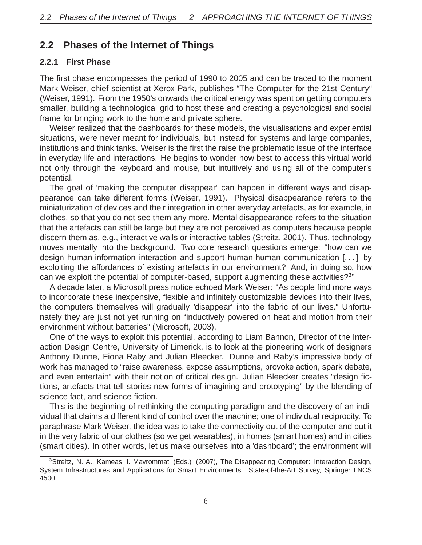#### **2.2 Phases of the Internet of Things**

#### **2.2.1 First Phase**

The first phase encompasses the period of 1990 to 2005 and can be traced to the moment Mark Weiser, chief scientist at Xerox Park, publishes "The Computer for the 21st Century" (Weiser, 1991). From the 1950's onwards the critical energy was spent on getting computers smaller, building a technological grid to host these and creating a psychological and social frame for bringing work to the home and private sphere.

Weiser realized that the dashboards for these models, the visualisations and experiential situations, were never meant for individuals, but instead for systems and large companies, institutions and think tanks. Weiser is the first the raise the problematic issue of the interface in everyday life and interactions. He begins to wonder how best to access this virtual world not only through the keyboard and mouse, but intuitively and using all of the computer's potential.

The goal of 'making the computer disappear' can happen in different ways and disappearance can take different forms (Weiser, 1991). Physical disappearance refers to the miniaturization of devices and their integration in other everyday artefacts, as for example, in clothes, so that you do not see them any more. Mental disappearance refers to the situation that the artefacts can still be large but they are not perceived as computers because people discern them as, e.g., interactive walls or interactive tables (Streitz, 2001). Thus, technology moves mentally into the background. Two core research questions emerge: "how can we design human-information interaction and support human-human communication [. . . ] by exploiting the affordances of existing artefacts in our environment? And, in doing so, how can we exploit the potential of computer-based, support augmenting these activities?<sup>3</sup>"

A decade later, a Microsoft press notice echoed Mark Weiser: "As people find more ways to incorporate these inexpensive, flexible and infinitely customizable devices into their lives, the computers themselves will gradually 'disappear' into the fabric of our lives." Unfortunately they are just not yet running on "inductively powered on heat and motion from their environment without batteries" (Microsoft, 2003).

One of the ways to exploit this potential, according to Liam Bannon, Director of the Interaction Design Centre, University of Limerick, is to look at the pioneering work of designers Anthony Dunne, Fiona Raby and Julian Bleecker. Dunne and Raby's impressive body of work has managed to "raise awareness, expose assumptions, provoke action, spark debate, and even entertain" with their notion of critical design. Julian Bleecker creates "design fictions, artefacts that tell stories new forms of imagining and prototyping" by the blending of science fact, and science fiction.

This is the beginning of rethinking the computing paradigm and the discovery of an individual that claims a different kind of control over the machine; one of individual reciprocity. To paraphrase Mark Weiser, the idea was to take the connectivity out of the computer and put it in the very fabric of our clothes (so we get wearables), in homes (smart homes) and in cities (smart cities). In other words, let us make ourselves into a 'dashboard'; the environment will

<sup>&</sup>lt;sup>3</sup>Streitz, N. A., Kameas, I. Mavrommati (Eds.) (2007), The Disappearing Computer: Interaction Design, System Infrastructures and Applications for Smart Environments. State-of-the-Art Survey, Springer LNCS 4500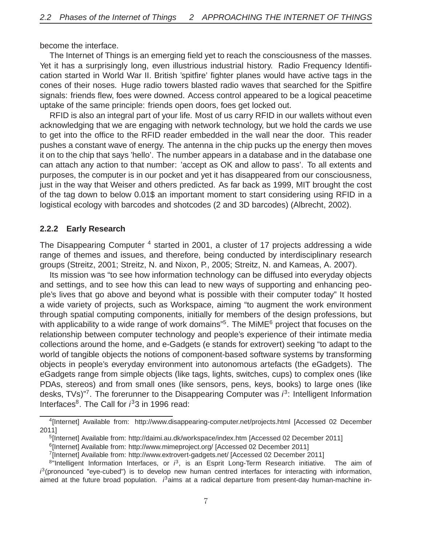become the interface.

The Internet of Things is an emerging field yet to reach the consciousness of the masses. Yet it has a surprisingly long, even illustrious industrial history. Radio Frequency Identification started in World War II. British 'spitfire' fighter planes would have active tags in the cones of their noses. Huge radio towers blasted radio waves that searched for the Spitfire signals: friends flew, foes were downed. Access control appeared to be a logical peacetime uptake of the same principle: friends open doors, foes get locked out.

RFID is also an integral part of your life. Most of us carry RFID in our wallets without even acknowledging that we are engaging with network technology, but we hold the cards we use to get into the office to the RFID reader embedded in the wall near the door. This reader pushes a constant wave of energy. The antenna in the chip pucks up the energy then moves it on to the chip that says 'hello'. The number appears in a database and in the database one can attach any action to that number: 'accept as OK and allow to pass'. To all extents and purposes, the computer is in our pocket and yet it has disappeared from our consciousness, just in the way that Weiser and others predicted. As far back as 1999, MIT brought the cost of the tag down to below 0.01\$ an important moment to start considering using RFID in a logistical ecology with barcodes and shotcodes (2 and 3D barcodes) (Albrecht, 2002).

#### **2.2.2 Early Research**

The Disappearing Computer<sup>4</sup> started in 2001, a cluster of 17 projects addressing a wide range of themes and issues, and therefore, being conducted by interdisciplinary research groups (Streitz, 2001; Streitz, N. and Nixon, P., 2005; Streitz, N. and Kameas, A. 2007).

Its mission was "to see how information technology can be diffused into everyday objects and settings, and to see how this can lead to new ways of supporting and enhancing people's lives that go above and beyond what is possible with their computer today" It hosted a wide variety of projects, such as Workspace, aiming "to augment the work environment through spatial computing components, initially for members of the design professions, but with applicability to a wide range of work domains"<sup>5</sup>. The MiME<sup>6</sup> project that focuses on the relationship between computer technology and people's experience of their intimate media collections around the home, and e-Gadgets (e stands for extrovert) seeking "to adapt to the world of tangible objects the notions of component-based software systems by transforming objects in people's everyday environment into autonomous artefacts (the eGadgets). The eGadgets range from simple objects (like tags, lights, switches, cups) to complex ones (like PDAs, stereos) and from small ones (like sensors, pens, keys, books) to large ones (like desks, TVs)"<sup>7</sup>. The forerunner to the Disappearing Computer was  $i^3$ : Intelligent Information Interfaces<sup>8</sup>. The Call for  $i<sup>3</sup>3$  in 1996 read:

<sup>&</sup>lt;sup>4</sup>[Internet] Available from: http://www.disappearing-computer.net/projects.html [Accessed 02 December 2011]

<sup>&</sup>lt;sup>5</sup>[Internet] Available from: http://daimi.au.dk/workspace/index.htm [Accessed 02 December 2011]

<sup>&</sup>lt;sup>6</sup>[Internet] Available from: http://www.mimeproject.org/ [Accessed 02 December 2011]

<sup>&</sup>lt;sup>7</sup>[Internet] Available from: http://www.extrovert-gadgets.net/ [Accessed 02 December 2011]

<sup>&</sup>lt;sup>8</sup>"Intelligent Information Interfaces, or  $i^3$ , is an Esprit Long-Term Research initiative. The aim of  $i<sup>3</sup>$ (pronounced "eye-cubed") is to develop new human centred interfaces for interacting with information, aimed at the future broad population.  $i^3$ aims at a radical departure from present-day human-machine in-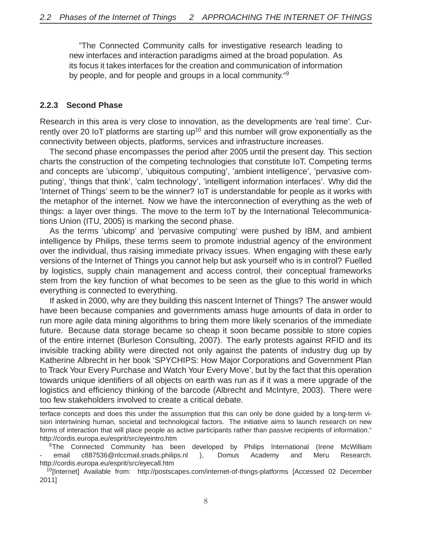"The Connected Community calls for investigative research leading to new interfaces and interaction paradigms aimed at the broad population. As its focus it takes interfaces for the creation and communication of information by people, and for people and groups in a local community.<sup>49</sup>

#### **2.2.3 Second Phase**

Research in this area is very close to innovation, as the developments are 'real time'. Currently over 20 IoT platforms are starting  $up<sup>10</sup>$  and this number will grow exponentially as the connectivity between objects, platforms, services and infrastructure increases.

The second phase encompasses the period after 2005 until the present day. This section charts the construction of the competing technologies that constitute IoT. Competing terms and concepts are 'ubicomp', 'ubiquitous computing', 'ambient intelligence', 'pervasive computing', 'things that think', 'calm technology', 'intelligent information interfaces'. Why did the 'Internet of Things' seem to be the winner? IoT is understandable for people as it works with the metaphor of the internet. Now we have the interconnection of everything as the web of things: a layer over things. The move to the term IoT by the International Telecommunications Union (ITU, 2005) is marking the second phase.

As the terms 'ubicomp' and 'pervasive computing' were pushed by IBM, and ambient intelligence by Philips, these terms seem to promote industrial agency of the environment over the individual, thus raising immediate privacy issues. When engaging with these early versions of the Internet of Things you cannot help but ask yourself who is in control? Fuelled by logistics, supply chain management and access control, their conceptual frameworks stem from the key function of what becomes to be seen as the glue to this world in which everything is connected to everything.

If asked in 2000, why are they building this nascent Internet of Things? The answer would have been because companies and governments amass huge amounts of data in order to run more agile data mining algorithms to bring them more likely scenarios of the immediate future. Because data storage became so cheap it soon became possible to store copies of the entire internet (Burleson Consulting, 2007). The early protests against RFID and its invisible tracking ability were directed not only against the patents of industry dug up by Katherine Albrecht in her book 'SPYCHIPS: How Major Corporations and Government Plan to Track Your Every Purchase and Watch Your Every Move', but by the fact that this operation towards unique identifiers of all objects on earth was run as if it was a mere upgrade of the logistics and efficiency thinking of the barcode (Albrecht and McIntyre, 2003). There were too few stakeholders involved to create a critical debate.

terface concepts and does this under the assumption that this can only be done guided by a long-term vision intertwining human, societal and technological factors. The initiative aims to launch research on new forms of interaction that will place people as active participants rather than passive recipients of information." http://cordis.europa.eu/esprit/src/eyeintro.htm

<sup>&</sup>lt;sup>9</sup>The Connected Community has been developed by Philips International (Irene McWilliam - email c887536@nlccmail.snads.philips.nl ), Domus Academy and Meru Research. http://cordis.europa.eu/esprit/src/eyecall.htm

<sup>10</sup>[Internet] Available from: http://postscapes.com/internet-of-things-platforms [Accessed 02 December 2011]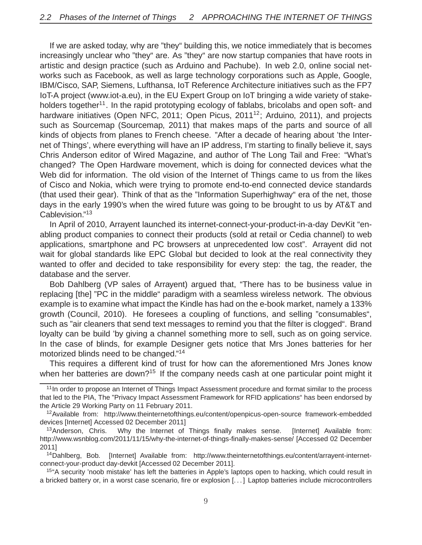If we are asked today, why are "they" building this, we notice immediately that is becomes increasingly unclear who "they" are. As "they" are now startup companies that have roots in artistic and design practice (such as Arduino and Pachube). In web 2.0, online social networks such as Facebook, as well as large technology corporations such as Apple, Google, IBM/Cisco, SAP, Siemens, Lufthansa, IoT Reference Architecture initiatives such as the FP7 IoT-A project (www.iot-a.eu), in the EU Expert Group on IoT bringing a wide variety of stakeholders together<sup>11</sup>. In the rapid prototyping ecology of fablabs, bricolabs and open soft- and hardware initiatives (Open NFC, 2011; Open Picus,  $2011^{12}$ ; Arduino, 2011), and projects such as Sourcemap (Sourcemap, 2011) that makes maps of the parts and source of all kinds of objects from planes to French cheese. "After a decade of hearing about 'the Internet of Things', where everything will have an IP address, I'm starting to finally believe it, says Chris Anderson editor of Wired Magazine, and author of The Long Tail and Free: "What's changed? The Open Hardware movement, which is doing for connected devices what the Web did for information. The old vision of the Internet of Things came to us from the likes of Cisco and Nokia, which were trying to promote end-to-end connected device standards (that used their gear). Think of that as the "Information Superhighway" era of the net, those days in the early 1990's when the wired future was going to be brought to us by AT&T and Cablevision."<sup>13</sup>

In April of 2010, Arrayent launched its internet-connect-your-product-in-a-day DevKit "enabling product companies to connect their products (sold at retail or Cedia channel) to web applications, smartphone and PC browsers at unprecedented low cost". Arrayent did not wait for global standards like EPC Global but decided to look at the real connectivity they wanted to offer and decided to take responsibility for every step: the tag, the reader, the database and the server.

Bob Dahlberg (VP sales of Arrayent) argued that, "There has to be business value in replacing [the] "PC in the middle" paradigm with a seamless wireless network. The obvious example is to examine what impact the Kindle has had on the e-book market, namely a 133% growth (Council, 2010). He foresees a coupling of functions, and selling "consumables", such as "air cleaners that send text messages to remind you that the filter is clogged". Brand loyalty can be build 'by giving a channel something more to sell, such as on going service. In the case of blinds, for example Designer gets notice that Mrs Jones batteries for her motorized blinds need to be changed."<sup>14</sup>

This requires a different kind of trust for how can the aforementioned Mrs Jones know when her batteries are down?<sup>15</sup> If the company needs cash at one particular point might it

<sup>&</sup>lt;sup>11</sup>In order to propose an Internet of Things Impact Assessment procedure and format similar to the process that led to the PIA, The "Privacy Impact Assessment Framework for RFID applications" has been endorsed by the Article 29 Working Party on 11 February 2011.

<sup>12</sup>Available from: http://www.theinternetofthings.eu/content/openpicus-open-source framework-embedded devices [Internet] Accessed 02 December 2011]

<sup>&</sup>lt;sup>13</sup>Anderson, Chris. Why the Internet of Things finally makes sense. [Internet] Available from: http://www.wsnblog.com/2011/11/15/why-the-internet-of-things-finally-makes-sense/ [Accessed 02 December 2011]

<sup>14</sup>Dahlberg, Bob. [Internet] Available from: http://www.theinternetofthings.eu/content/arrayent-internetconnect-your-product day-devkit [Accessed 02 December 2011].

<sup>&</sup>lt;sup>15</sup>"A security 'noob mistake' has left the batteries in Apple's laptops open to hacking, which could result in a bricked battery or, in a worst case scenario, fire or explosion [. . . ] Laptop batteries include microcontrollers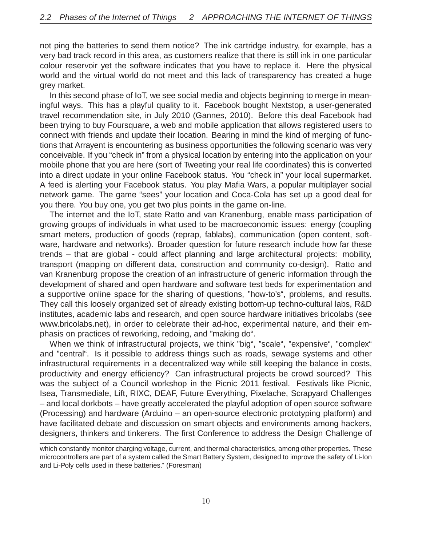not ping the batteries to send them notice? The ink cartridge industry, for example, has a very bad track record in this area, as customers realize that there is still ink in one particular colour reservoir yet the software indicates that you have to replace it. Here the physical world and the virtual world do not meet and this lack of transparency has created a huge grey market.

In this second phase of IoT, we see social media and objects beginning to merge in meaningful ways. This has a playful quality to it. Facebook bought Nextstop, a user-generated travel recommendation site, in July 2010 (Gannes, 2010). Before this deal Facebook had been trying to buy Foursquare, a web and mobile application that allows registered users to connect with friends and update their location. Bearing in mind the kind of merging of functions that Arrayent is encountering as business opportunities the following scenario was very conceivable. If you "check in" from a physical location by entering into the application on your mobile phone that you are here (sort of Tweeting your real life coordinates) this is converted into a direct update in your online Facebook status. You "check in" your local supermarket. A feed is alerting your Facebook status. You play Mafia Wars, a popular multiplayer social network game. The game "sees" your location and Coca-Cola has set up a good deal for you there. You buy one, you get two plus points in the game on-line.

The internet and the IoT, state Ratto and van Kranenburg, enable mass participation of growing groups of individuals in what used to be macroeconomic issues: energy (coupling smart meters, production of goods (reprap, fablabs), communication (open content, software, hardware and networks). Broader question for future research include how far these trends – that are global - could affect planning and large architectural projects: mobility, transport (mapping on different data, construction and community co-design). Ratto and van Kranenburg propose the creation of an infrastructure of generic information through the development of shared and open hardware and software test beds for experimentation and a supportive online space for the sharing of questions, "how-to's", problems, and results. They call this loosely organized set of already existing bottom-up techno-cultural labs, R&D institutes, academic labs and research, and open source hardware initiatives bricolabs (see www.bricolabs.net), in order to celebrate their ad-hoc, experimental nature, and their emphasis on practices of reworking, redoing, and "making do".

When we think of infrastructural projects, we think "big", "scale", "expensive", "complex" and "central". Is it possible to address things such as roads, sewage systems and other infrastructural requirements in a decentralized way while still keeping the balance in costs, productivity and energy efficiency? Can infrastructural projects be crowd sourced? This was the subject of a Council workshop in the Picnic 2011 festival. Festivals like Picnic, Isea, Transmediale, Lift, RIXC, DEAF, Future Everything, Pixelache, Scrapyard Challenges – and local dorkbots – have greatly accelerated the playful adoption of open source software (Processing) and hardware (Arduino – an open-source electronic prototyping platform) and have facilitated debate and discussion on smart objects and environments among hackers, designers, thinkers and tinkerers. The first Conference to address the Design Challenge of

which constantly monitor charging voltage, current, and thermal characteristics, among other properties. These microcontrollers are part of a system called the Smart Battery System, designed to improve the safety of Li-Ion and Li-Poly cells used in these batteries." (Foresman)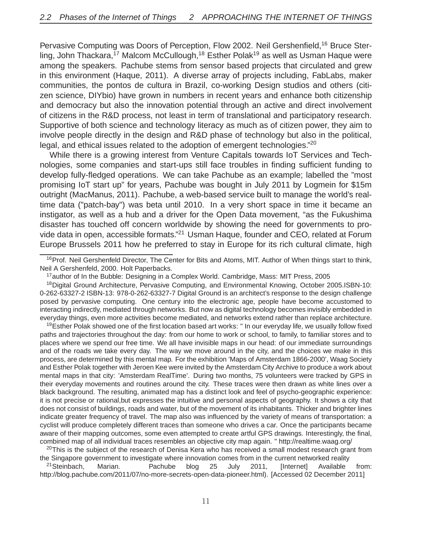Pervasive Computing was Doors of Perception, Flow 2002. Neil Gershenfield,<sup>16</sup> Bruce Sterling, John Thackara,<sup>17</sup> Malcom McCullough,<sup>18</sup> Esther Polak<sup>19</sup> as well as Usman Haque were among the speakers. Pachube stems from sensor based projects that circulated and grew in this environment (Haque, 2011). A diverse array of projects including, FabLabs, maker communities, the pontos de cultura in Brazil, co-working Design studios and others (citizen science, DIYbio) have grown in numbers in recent years and enhance both citizenship and democracy but also the innovation potential through an active and direct involvement of citizens in the R&D process, not least in term of translational and participatory research. Supportive of both science and technology literacy as much as of citizen power, they aim to involve people directly in the design and R&D phase of technology but also in the political, legal, and ethical issues related to the adoption of emergent technologies."<sup>20</sup>

While there is a growing interest from Venture Capitals towards IoT Services and Technologies, some companies and start-ups still face troubles in finding sufficient funding to develop fully-fledged operations. We can take Pachube as an example; labelled the "most promising IoT start up" for years, Pachube was bought in July 2011 by Logmein for \$15m outright (MacManus, 2011). Pachube, a web-based service built to manage the world's realtime data ("patch-bay") was beta until 2010. In a very short space in time it became an instigator, as well as a hub and a driver for the Open Data movement, "as the Fukushima disaster has touched off concern worldwide by showing the need for governments to provide data in open, accessible formats."<sup>21</sup> Usman Haque, founder and CEO, related at Forum Europe Brussels 2011 how he preferred to stay in Europe for its rich cultural climate, high

<sup>19</sup>Esther Polak showed one of the first location based art works: " In our everyday life, we usually follow fixed paths and trajectories throughout the day: from our home to work or school, to family, to familiar stores and to places where we spend our free time. We all have invisible maps in our head: of our immediate surroundings and of the roads we take every day. The way we move around in the city, and the choices we make in this process, are determined by this mental map. For the exhibition 'Maps of Amsterdam 1866-2000', Waag Society and Esther Polak together with Jeroen Kee were invited by the Amsterdam City Archive to produce a work about mental maps in that city: 'Amsterdam RealTime'. During two months, 75 volunteers were tracked by GPS in their everyday movements and routines around the city. These traces were then drawn as white lines over a black background. The resulting, animated map has a distinct look and feel of psycho-geographic experience: it is not precise or rational,but expresses the intuitive and personal aspects of geography. It shows a city that does not consist of buildings, roads and water, but of the movement of its inhabitants. Thicker and brighter lines indicate greater frequency of travel. The map also was influenced by the variety of means of transportation: a cyclist will produce completely different traces than someone who drives a car. Once the participants became aware of their mapping outcomes, some even attempted to create artful GPS drawings. Interestingly, the final, combined map of all individual traces resembles an objective city map again. " http://realtime.waag.org/

 $20$ This is the subject of the research of Denisa Kera who has received a small modest research grant from the Singapore government to investigate where innovation comes from in the current networked reality

<sup>21</sup>Steinbach, Marian. Pachube blog 25 July 2011, [Internet] Available from: http://blog.pachube.com/2011/07/no-more-secrets-open-data-pioneer.html). [Accessed 02 December 2011]

<sup>&</sup>lt;sup>16</sup>Prof. Neil Gershenfeld Director, The Center for Bits and Atoms, MIT. Author of When things start to think, Neil A Gershenfeld, 2000. Holt Paperbacks.

<sup>&</sup>lt;sup>17</sup>author of In the Bubble: Designing in a Complex World. Cambridge, Mass: MIT Press, 2005

<sup>18</sup>Digital Ground Architecture, Pervasive Computing, and Environmental Knowing, October 2005.ISBN-10: 0-262-63327-2 ISBN-13: 978-0-262-63327-7 Digital Ground is an architect's response to the design challenge posed by pervasive computing. One century into the electronic age, people have become accustomed to interacting indirectly, mediated through networks. But now as digital technology becomes invisibly embedded in everyday things, even more activities become mediated, and networks extend rather than replace architecture.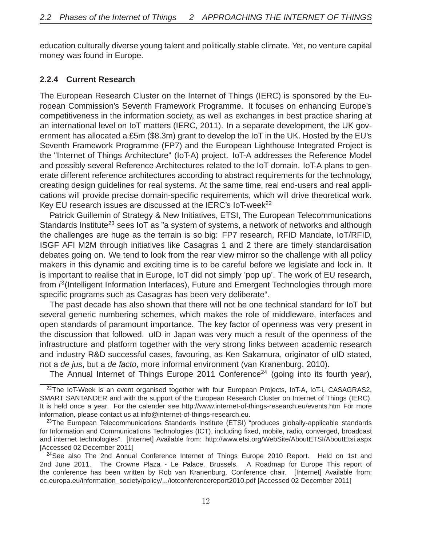education culturally diverse young talent and politically stable climate. Yet, no venture capital money was found in Europe.

#### **2.2.4 Current Research**

The European Research Cluster on the Internet of Things (IERC) is sponsored by the European Commission's Seventh Framework Programme. It focuses on enhancing Europe's competitiveness in the information society, as well as exchanges in best practice sharing at an international level on IoT matters (IERC, 2011). In a separate development, the UK government has allocated a £5m (\$8.3m) grant to develop the IoT in the UK. Hosted by the EU's Seventh Framework Programme (FP7) and the European Lighthouse Integrated Project is the "Internet of Things Architecture" (IoT-A) project. IoT-A addresses the Reference Model and possibly several Reference Architectures related to the IoT domain. IoT-A plans to generate different reference architectures according to abstract requirements for the technology, creating design guidelines for real systems. At the same time, real end-users and real applications will provide precise domain-specific requirements, which will drive theoretical work. Key EU research issues are discussed at the IERC's IoT-week<sup>22</sup>

Patrick Guillemin of Strategy & New Initiatives, ETSI, The European Telecommunications Standards Institute<sup>23</sup> sees IoT as "a system of systems, a network of networks and although the challenges are huge as the terrain is so big: FP7 research, RFID Mandate, IoT/RFID, ISGF AFI M2M through initiatives like Casagras 1 and 2 there are timely standardisation debates going on. We tend to look from the rear view mirror so the challenge with all policy makers in this dynamic and exciting time is to be careful before we legislate and lock in. It is important to realise that in Europe, IoT did not simply 'pop up'. The work of EU research, from i<sup>3</sup>(Intelligent Information Interfaces), Future and Emergent Technologies through more specific programs such as Casagras has been very deliberate".

The past decade has also shown that there will not be one technical standard for IoT but several generic numbering schemes, which makes the role of middleware, interfaces and open standards of paramount importance. The key factor of openness was very present in the discussion that followed. uID in Japan was very much a result of the openness of the infrastructure and platform together with the very strong links between academic research and industry R&D successful cases, favouring, as Ken Sakamura, originator of uID stated, not a de jus, but a de facto, more informal environment (van Kranenburg, 2010).

The Annual Internet of Things Europe 2011 Conference<sup>24</sup> (going into its fourth year),

<sup>&</sup>lt;sup>22</sup>The IoT-Week is an event organised together with four European Projects, IoT-A, IoT-i, CASAGRAS2, SMART SANTANDER and with the support of the European Research Cluster on Internet of Things (IERC). It is held once a year. For the calender see http://www.internet-of-things-research.eu/events.htm For more information, please contact us at info@internet-of-things-research.eu.

 $23$ The European Telecommunications Standards Institute (ETSI) "produces globally-applicable standards for Information and Communications Technologies (ICT), including fixed, mobile, radio, converged, broadcast and internet technologies". [Internet] Available from: http://www.etsi.org/WebSite/AboutETSI/AboutEtsi.aspx [Accessed 02 December 2011]

 $24$ See also The 2nd Annual Conference Internet of Things Europe 2010 Report. Held on 1st and 2nd June 2011. The Crowne Plaza - Le Palace, Brussels. A Roadmap for Europe This report of the conference has been written by Rob van Kranenburg, Conference chair. [Internet] Available from: ec.europa.eu/information\_society/policy/.../iotconferencereport2010.pdf [Accessed 02 December 2011]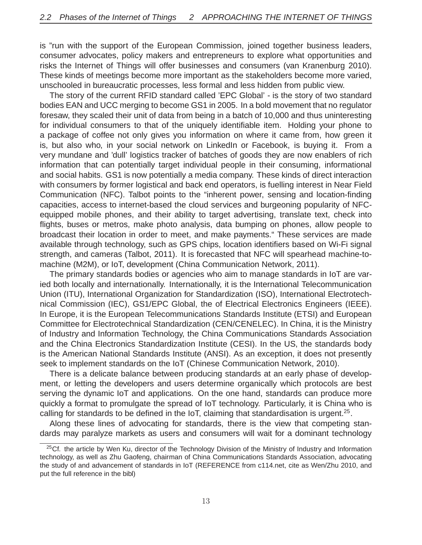is "run with the support of the European Commission, joined together business leaders, consumer advocates, policy makers and entrepreneurs to explore what opportunities and risks the Internet of Things will offer businesses and consumers (van Kranenburg 2010). These kinds of meetings become more important as the stakeholders become more varied, unschooled in bureaucratic processes, less formal and less hidden from public view.

The story of the current RFID standard called 'EPC Global' - is the story of two standard bodies EAN and UCC merging to become GS1 in 2005. In a bold movement that no regulator foresaw, they scaled their unit of data from being in a batch of 10,000 and thus uninteresting for individual consumers to that of the uniquely identifiable item. Holding your phone to a package of coffee not only gives you information on where it came from, how green it is, but also who, in your social network on LinkedIn or Facebook, is buying it. From a very mundane and 'dull' logistics tracker of batches of goods they are now enablers of rich information that can potentially target individual people in their consuming, informational and social habits. GS1 is now potentially a media company. These kinds of direct interaction with consumers by former logistical and back end operators, is fuelling interest in Near Field Communication (NFC). Talbot points to the "inherent power, sensing and location-finding capacities, access to internet-based the cloud services and burgeoning popularity of NFCequipped mobile phones, and their ability to target advertising, translate text, check into flights, buses or metros, make photo analysis, data bumping on phones, allow people to broadcast their location in order to meet, and make payments." These services are made available through technology, such as GPS chips, location identifiers based on Wi-Fi signal strength, and cameras (Talbot, 2011). It is forecasted that NFC will spearhead machine-tomachine (M2M), or IoT, development (China Communication Network, 2011).

The primary standards bodies or agencies who aim to manage standards in IoT are varied both locally and internationally. Internationally, it is the International Telecommunication Union (ITU), International Organization for Standardization (ISO), International Electrotechnical Commission (IEC), GS1/EPC Global, the of Electrical Electronics Engineers (IEEE). In Europe, it is the European Telecommunications Standards Institute (ETSI) and European Committee for Electrotechnical Standardization (CEN/CENELEC). In China, it is the Ministry of Industry and Information Technology, the China Communications Standards Association and the China Electronics Standardization Institute (CESI). In the US, the standards body is the American National Standards Institute (ANSI). As an exception, it does not presently seek to implement standards on the IoT (Chinese Communication Network, 2010).

There is a delicate balance between producing standards at an early phase of development, or letting the developers and users determine organically which protocols are best serving the dynamic IoT and applications. On the one hand, standards can produce more quickly a format to promulgate the spread of IoT technology. Particularly, it is China who is calling for standards to be defined in the IoT, claiming that standardisation is urgent.<sup>25</sup>.

Along these lines of advocating for standards, there is the view that competing standards may paralyze markets as users and consumers will wait for a dominant technology

<sup>&</sup>lt;sup>25</sup>Cf. the article by Wen Ku, director of the Technology Division of the Ministry of Industry and Information technology, as well as Zhu Gaofeng, chairman of China Communications Standards Association, advocating the study of and advancement of standards in IoT (REFERENCE from c114.net, cite as Wen/Zhu 2010, and put the full reference in the bibl)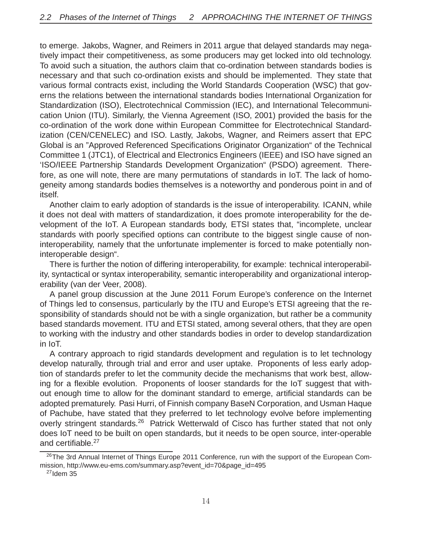to emerge. Jakobs, Wagner, and Reimers in 2011 argue that delayed standards may negatively impact their competitiveness, as some producers may get locked into old technology. To avoid such a situation, the authors claim that co-ordination between standards bodies is necessary and that such co-ordination exists and should be implemented. They state that various formal contracts exist, including the World Standards Cooperation (WSC) that governs the relations between the international standards bodies International Organization for Standardization (ISO), Electrotechnical Commission (IEC), and International Telecommunication Union (ITU). Similarly, the Vienna Agreement (ISO, 2001) provided the basis for the co-ordination of the work done within European Committee for Electrotechnical Standardization (CEN/CENELEC) and ISO. Lastly, Jakobs, Wagner, and Reimers assert that EPC Global is an "Approved Referenced Specifications Originator Organization" of the Technical Committee 1 (JTC1), of Electrical and Electronics Engineers (IEEE) and ISO have signed an 'ISO/IEEE Partnership Standards Development Organization" (PSDO) agreement. Therefore, as one will note, there are many permutations of standards in IoT. The lack of homogeneity among standards bodies themselves is a noteworthy and ponderous point in and of itself.

Another claim to early adoption of standards is the issue of interoperability. ICANN, while it does not deal with matters of standardization, it does promote interoperability for the development of the IoT. A European standards body, ETSI states that, "incomplete, unclear standards with poorly specified options can contribute to the biggest single cause of noninteroperability, namely that the unfortunate implementer is forced to make potentially noninteroperable design".

There is further the notion of differing interoperability, for example: technical interoperability, syntactical or syntax interoperability, semantic interoperability and organizational interoperability (van der Veer, 2008).

A panel group discussion at the June 2011 Forum Europe's conference on the Internet of Things led to consensus, particularly by the ITU and Europe's ETSI agreeing that the responsibility of standards should not be with a single organization, but rather be a community based standards movement. ITU and ETSI stated, among several others, that they are open to working with the industry and other standards bodies in order to develop standardization in IoT.

A contrary approach to rigid standards development and regulation is to let technology develop naturally, through trial and error and user uptake. Proponents of less early adoption of standards prefer to let the community decide the mechanisms that work best, allowing for a flexible evolution. Proponents of looser standards for the IoT suggest that without enough time to allow for the dominant standard to emerge, artificial standards can be adopted prematurely. Pasi Hurri, of Finnish company BaseN Corporation, and Usman Haque of Pachube, have stated that they preferred to let technology evolve before implementing overly stringent standards.<sup>26</sup> Patrick Wetterwald of Cisco has further stated that not only does IoT need to be built on open standards, but it needs to be open source, inter-operable and certifiable.<sup>27</sup>

 $26$ The 3rd Annual Internet of Things Europe 2011 Conference, run with the support of the European Commission, http://www.eu-ems.com/summary.asp?event\_id=70&page\_id=495

 $27$ Idem 35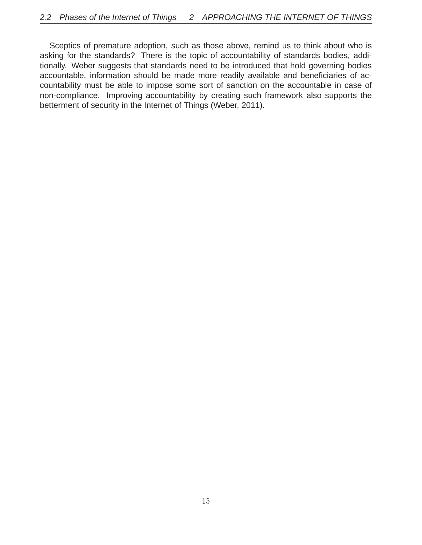Sceptics of premature adoption, such as those above, remind us to think about who is asking for the standards? There is the topic of accountability of standards bodies, additionally. Weber suggests that standards need to be introduced that hold governing bodies accountable, information should be made more readily available and beneficiaries of accountability must be able to impose some sort of sanction on the accountable in case of non-compliance. Improving accountability by creating such framework also supports the betterment of security in the Internet of Things (Weber, 2011).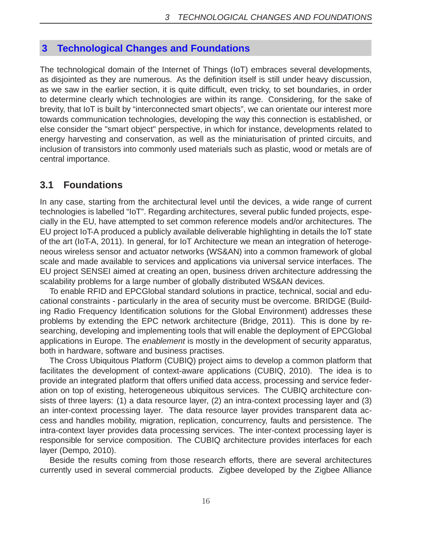#### **3 Technological Changes and Foundations**

The technological domain of the Internet of Things (IoT) embraces several developments, as disjointed as they are numerous. As the definition itself is still under heavy discussion, as we saw in the earlier section, it is quite difficult, even tricky, to set boundaries, in order to determine clearly which technologies are within its range. Considering, for the sake of brevity, that IoT is built by "interconnected smart objects", we can orientate our interest more towards communication technologies, developing the way this connection is established, or else consider the "smart object" perspective, in which for instance, developments related to energy harvesting and conservation, as well as the miniaturisation of printed circuits, and inclusion of transistors into commonly used materials such as plastic, wood or metals are of central importance.

### **3.1 Foundations**

In any case, starting from the architectural level until the devices, a wide range of current technologies is labelled "IoT". Regarding architectures, several public funded projects, especially in the EU, have attempted to set common reference models and/or architectures. The EU project IoT-A produced a publicly available deliverable highlighting in details the IoT state of the art (IoT-A, 2011). In general, for IoT Architecture we mean an integration of heterogeneous wireless sensor and actuator networks (WS&AN) into a common framework of global scale and made available to services and applications via universal service interfaces. The EU project SENSEI aimed at creating an open, business driven architecture addressing the scalability problems for a large number of globally distributed WS&AN devices.

To enable RFID and EPCGlobal standard solutions in practice, technical, social and educational constraints - particularly in the area of security must be overcome. BRIDGE (Building Radio Frequency Identification solutions for the Global Environment) addresses these problems by extending the EPC network architecture (Bridge, 2011). This is done by researching, developing and implementing tools that will enable the deployment of EPCGlobal applications in Europe. The *enablement* is mostly in the development of security apparatus, both in hardware, software and business practises.

The Cross Ubiquitous Platform (CUBIQ) project aims to develop a common platform that facilitates the development of context-aware applications (CUBIQ, 2010). The idea is to provide an integrated platform that offers unified data access, processing and service federation on top of existing, heterogeneous ubiquitous services. The CUBIQ architecture consists of three layers: (1) a data resource layer, (2) an intra-context processing layer and (3) an inter-context processing layer. The data resource layer provides transparent data access and handles mobility, migration, replication, concurrency, faults and persistence. The intra-context layer provides data processing services. The inter-context processing layer is responsible for service composition. The CUBIQ architecture provides interfaces for each layer (Dempo, 2010).

Beside the results coming from those research efforts, there are several architectures currently used in several commercial products. Zigbee developed by the Zigbee Alliance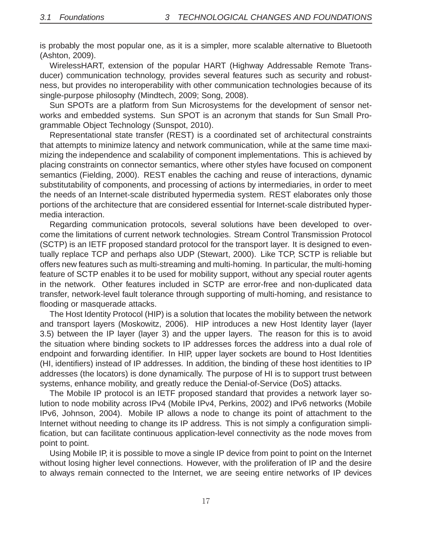is probably the most popular one, as it is a simpler, more scalable alternative to Bluetooth (Ashton, 2009).

WirelessHART, extension of the popular HART (Highway Addressable Remote Transducer) communication technology, provides several features such as security and robustness, but provides no interoperability with other communication technologies because of its single-purpose philosophy (Mindtech, 2009; Song, 2008).

Sun SPOTs are a platform from Sun Microsystems for the development of sensor networks and embedded systems. Sun SPOT is an acronym that stands for Sun Small Programmable Object Technology (Sunspot, 2010).

Representational state transfer (REST) is a coordinated set of architectural constraints that attempts to minimize latency and network communication, while at the same time maximizing the independence and scalability of component implementations. This is achieved by placing constraints on connector semantics, where other styles have focused on component semantics (Fielding, 2000). REST enables the caching and reuse of interactions, dynamic substitutability of components, and processing of actions by intermediaries, in order to meet the needs of an Internet-scale distributed hypermedia system. REST elaborates only those portions of the architecture that are considered essential for Internet-scale distributed hypermedia interaction.

Regarding communication protocols, several solutions have been developed to overcome the limitations of current network technologies. Stream Control Transmission Protocol (SCTP) is an IETF proposed standard protocol for the transport layer. It is designed to eventually replace TCP and perhaps also UDP (Stewart, 2000). Like TCP, SCTP is reliable but offers new features such as multi-streaming and multi-homing. In particular, the multi-homing feature of SCTP enables it to be used for mobility support, without any special router agents in the network. Other features included in SCTP are error-free and non-duplicated data transfer, network-level fault tolerance through supporting of multi-homing, and resistance to flooding or masquerade attacks.

The Host Identity Protocol (HIP) is a solution that locates the mobility between the network and transport layers (Moskowitz, 2006). HIP introduces a new Host Identity layer (layer 3.5) between the IP layer (layer 3) and the upper layers. The reason for this is to avoid the situation where binding sockets to IP addresses forces the address into a dual role of endpoint and forwarding identifier. In HIP, upper layer sockets are bound to Host Identities (HI, identifiers) instead of IP addresses. In addition, the binding of these host identities to IP addresses (the locators) is done dynamically. The purpose of HI is to support trust between systems, enhance mobility, and greatly reduce the Denial-of-Service (DoS) attacks.

The Mobile IP protocol is an IETF proposed standard that provides a network layer solution to node mobility across IPv4 (Mobile IPv4, Perkins, 2002) and IPv6 networks (Mobile IPv6, Johnson, 2004). Mobile IP allows a node to change its point of attachment to the Internet without needing to change its IP address. This is not simply a configuration simplification, but can facilitate continuous application-level connectivity as the node moves from point to point.

Using Mobile IP, it is possible to move a single IP device from point to point on the Internet without losing higher level connections. However, with the proliferation of IP and the desire to always remain connected to the Internet, we are seeing entire networks of IP devices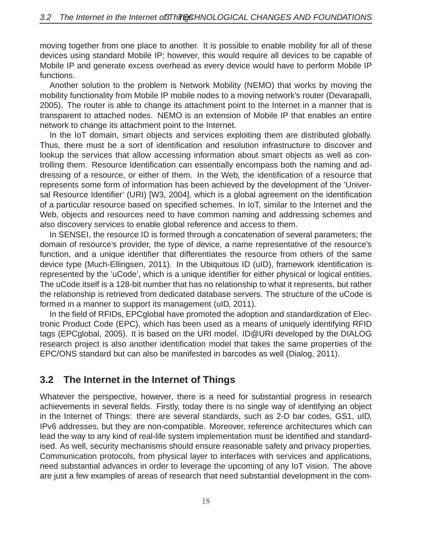moving together from one place to another. It is possible to enable mobility for all of these devices using standard Mobile IP; however, this would require all devices to be capable of Mobile IP and generate excess overhead as every device would have to perform Mobile IP functions.

Another solution to the problem is Network Mobility (NEMO) that works by moving the mobility functionality from Mobile IP mobile nodes to a moving network's router (Devarapalli, 2005). The router is able to change its attachment point to the Internet in a manner that is transparent to attached nodes. NEMO is an extension of Mobile IP that enables an entire network to change its attachment point to the Internet.

In the IoT domain, smart objects and services exploiting them are distributed globally. Thus, there must be a sort of identification and resolution infrastructure to discover and lookup the services that allow accessing information about smart objects as well as controlling them. Resource Identification can essentially encompass both the naming and addressing of a resource, or either of them. In the Web, the identification of a resource that represents some form of information has been achieved by the development of the 'Universal Resource Identifier' (URI) [W3, 2004], which is a global agreement on the identification of a particular resource based on specified schemes. In IoT, similar to the Internet and the Web, objects and resources need to have common naming and addressing schemes and also discovery services to enable global reference and access to them.

In SENSEI, the resource ID is formed through a concatenation of several parameters; the domain of resource's provider, the type of device, a name representative of the resource's function, and a unique identifier that differentiates the resource from others of the same device type (Much-Ellingsen, 2011). In the Ubiquitous ID (uID), framework identification is represented by the 'uCode', which is a unique identifier for either physical or logical entities. The uCode itself is a 128-bit number that has no relationship to what it represents, but rather the relationship is retrieved from dedicated database servers. The structure of the uCode is formed in a manner to support its management (uID, 2011).

In the field of RFIDs, EPCglobal have promoted the adoption and standardization of Electronic Product Code (EPC), which has been used as a means of uniquely identifying RFID tags (EPCglobal, 2005). It is based on the URI model. ID@URI developed by the DIALOG research project is also another identification model that takes the same properties of the EPC/ONS standard but can also be manifested in barcodes as well (Dialog, 2011).

### **3.2 The Internet in the Internet of Things**

Whatever the perspective, however, there is a need for substantial progress in research achievements in several fields. Firstly, today there is no single way of identifying an object in the Internet of Things: there are several standards, such as 2-D bar codes, GS1, uID, IPv6 addresses, but they are non-compatible. Moreover, reference architectures which can lead the way to any kind of real-life system implementation must be identified and standardised. As well, security mechanisms should ensure reasonable safety and privacy properties. Communication protocols, from physical layer to interfaces with services and applications, need substantial advances in order to leverage the upcoming of any IoT vision. The above are just a few examples of areas of research that need substantial development in the com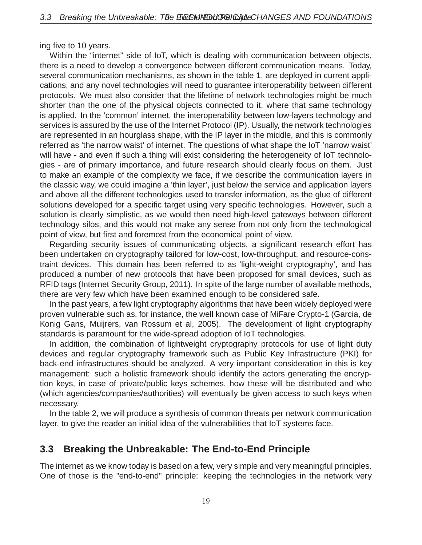ing five to 10 years.

Within the "internet" side of IoT, which is dealing with communication between objects, there is a need to develop a convergence between different communication means. Today, several communication mechanisms, as shown in the table 1, are deployed in current applications, and any novel technologies will need to guarantee interoperability between different protocols. We must also consider that the lifetime of network technologies might be much shorter than the one of the physical objects connected to it, where that same technology is applied. In the 'common' internet, the interoperability between low-layers technology and services is assured by the use of the Internet Protocol (IP). Usually, the network technologies are represented in an hourglass shape, with the IP layer in the middle, and this is commonly referred as 'the narrow waist' of internet. The questions of what shape the IoT 'narrow waist' will have - and even if such a thing will exist considering the heterogeneity of IoT technologies - are of primary importance, and future research should clearly focus on them. Just to make an example of the complexity we face, if we describe the communication layers in the classic way, we could imagine a 'thin layer', just below the service and application layers and above all the different technologies used to transfer information, as the glue of different solutions developed for a specific target using very specific technologies. However, such a solution is clearly simplistic, as we would then need high-level gateways between different technology silos, and this would not make any sense from not only from the technological point of view, but first and foremost from the economical point of view.

Regarding security issues of communicating objects, a significant research effort has been undertaken on cryptography tailored for low-cost, low-throughput, and resource-constraint devices. This domain has been referred to as 'light-weight cryptography', and has produced a number of new protocols that have been proposed for small devices, such as RFID tags (Internet Security Group, 2011). In spite of the large number of available methods, there are very few which have been examined enough to be considered safe.

In the past years, a few light cryptography algorithms that have been widely deployed were proven vulnerable such as, for instance, the well known case of MiFare Crypto-1 (Garcia, de Konig Gans, Muijrers, van Rossum et al, 2005). The development of light cryptography standards is paramount for the wide-spread adoption of IoT technologies.

In addition, the combination of lightweight cryptography protocols for use of light duty devices and regular cryptography framework such as Public Key Infrastructure (PKI) for back-end infrastructures should be analyzed. A very important consideration in this is key management: such a holistic framework should identify the actors generating the encryption keys, in case of private/public keys schemes, how these will be distributed and who (which agencies/companies/authorities) will eventually be given access to such keys when necessary.

In the table 2, we will produce a synthesis of common threats per network communication layer, to give the reader an initial idea of the vulnerabilities that IoT systems face.

#### **3.3 Breaking the Unbreakable: The End-to-End Principle**

The internet as we know today is based on a few, very simple and very meaningful principles. One of those is the "end-to-end" principle: keeping the technologies in the network very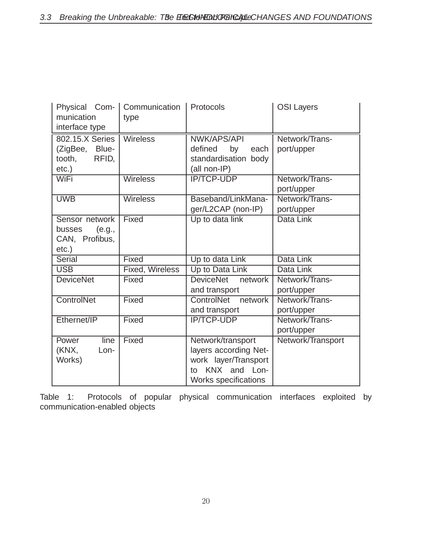| Physical Com-<br>munication<br>interface type | Communication<br>type  | Protocols                   | <b>OSI Layers</b> |
|-----------------------------------------------|------------------------|-----------------------------|-------------------|
| 802.15.X Series                               | <b>Wireless</b>        | <b>NWK/APS/API</b>          | Network/Trans-    |
| Blue-<br>(ZigBee,                             |                        | defined<br>by<br>each       | port/upper        |
| RFID,<br>tooth,                               |                        | standardisation body        |                   |
| etc.)                                         |                        | (all non-IP)                |                   |
| <b>WiFi</b>                                   | <b>Wireless</b>        | <b>IP/TCP-UDP</b>           | Network/Trans-    |
|                                               |                        |                             | port/upper        |
| <b>UWB</b>                                    | <b>Wireless</b>        | Baseband/LinkMana-          | Network/Trans-    |
|                                               |                        | ger/L2CAP (non-IP)          | port/upper        |
| Sensor network                                | Fixed                  | Up to data link             | Data Link         |
| busses<br>(e.g.,                              |                        |                             |                   |
| CAN, Profibus,                                |                        |                             |                   |
| etc.)                                         |                        |                             |                   |
| <b>Serial</b>                                 | Fixed                  | Up to data Link             | Data Link         |
| <b>USB</b>                                    | <b>Fixed, Wireless</b> | Up to Data Link             | Data Link         |
| <b>DeviceNet</b>                              | Fixed                  | <b>DeviceNet</b><br>network | Network/Trans-    |
|                                               |                        | and transport               | port/upper        |
| ControlNet                                    | Fixed                  | ControlNet network          | Network/Trans-    |
|                                               |                        | and transport               | port/upper        |
| Ethernet/IP                                   | Fixed                  | <b>IP/TCP-UDP</b>           | Network/Trans-    |
|                                               |                        |                             | port/upper        |
| Power<br>line                                 | Fixed                  | Network/transport           | Network/Transport |
| (KNX,<br>Lon-                                 |                        | layers according Net-       |                   |
| Works)                                        |                        | work layer/Transport        |                   |
|                                               |                        | KNX and Lon-<br>to          |                   |
|                                               |                        | Works specifications        |                   |

Table 1: Protocols of popular physical communication interfaces exploited by communication-enabled objects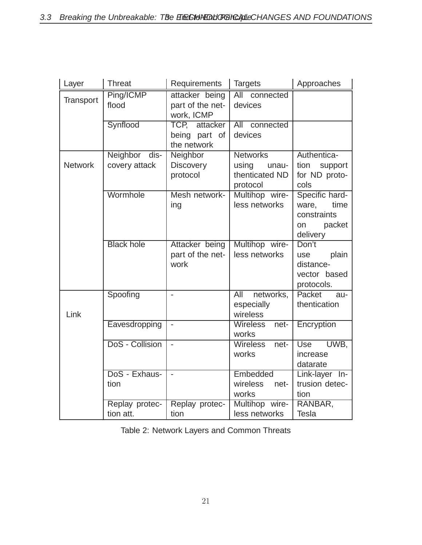| Layer          | <b>Threat</b>                     | <b>Requirements</b>                              | <b>Targets</b>                                                  | Approaches                                                                 |
|----------------|-----------------------------------|--------------------------------------------------|-----------------------------------------------------------------|----------------------------------------------------------------------------|
| Transport      | Ping/ICMP<br>flood                | attacker being<br>part of the net-<br>work, ICMP | All connected<br>devices                                        |                                                                            |
|                | Synflood                          | TCP, attacker<br>being part of<br>the network    | All connected<br>devices                                        |                                                                            |
| <b>Network</b> | Neighbor<br>dis-<br>covery attack | Neighbor<br><b>Discovery</b><br>protocol         | <b>Networks</b><br>using<br>unau-<br>thenticated ND<br>protocol | Authentica-<br>tion<br>support<br>for ND proto-<br>cols                    |
|                | Wormhole                          | Mesh network-<br>ing                             | Multihop wire-<br>less networks                                 | Specific hard-<br>time<br>ware,<br>constraints<br>packet<br>on<br>delivery |
|                | <b>Black hole</b>                 | Attacker being<br>part of the net-<br>work       | Multihop wire-<br>less networks                                 | Don't<br>plain<br>use<br>distance-<br>vector based<br>protocols.           |
| Link           | Spoofing                          | $\overline{a}$                                   | All<br>networks,<br>especially<br>wireless                      | Packet<br>au-<br>thentication                                              |
|                | Eavesdropping                     | $\overline{a}$                                   | <b>Wireless</b><br>net-<br>works                                | Encryption                                                                 |
|                | DoS - Collision                   | $\overline{a}$                                   | <b>Wireless</b><br>net-<br>works                                | UWB,<br>Use<br>increase<br>datarate                                        |
|                | DoS - Exhaus-<br>tion             |                                                  | Embedded<br>wireless<br>net-<br>works                           | Link-layer In-<br>trusion detec-<br>tion                                   |
|                | Replay protec-<br>tion att.       | Replay protec-<br>tion                           | Multihop wire-<br>less networks                                 | RANBAR,<br><b>Tesla</b>                                                    |

Table 2: Network Layers and Common Threats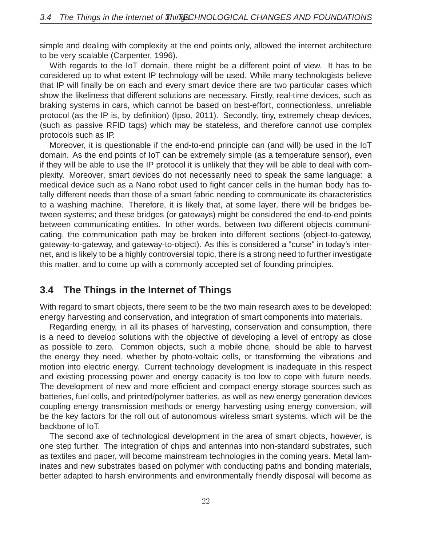simple and dealing with complexity at the end points only, allowed the internet architecture to be very scalable (Carpenter, 1996).

With regards to the IoT domain, there might be a different point of view. It has to be considered up to what extent IP technology will be used. While many technologists believe that IP will finally be on each and every smart device there are two particular cases which show the likeliness that different solutions are necessary. Firstly, real-time devices, such as braking systems in cars, which cannot be based on best-effort, connectionless, unreliable protocol (as the IP is, by definition) (Ipso, 2011). Secondly, tiny, extremely cheap devices, (such as passive RFID tags) which may be stateless, and therefore cannot use complex protocols such as IP.

Moreover, it is questionable if the end-to-end principle can (and will) be used in the IoT domain. As the end points of IoT can be extremely simple (as a temperature sensor), even if they will be able to use the IP protocol it is unlikely that they will be able to deal with complexity. Moreover, smart devices do not necessarily need to speak the same language: a medical device such as a Nano robot used to fight cancer cells in the human body has totally different needs than those of a smart fabric needing to communicate its characteristics to a washing machine. Therefore, it is likely that, at some layer, there will be bridges between systems; and these bridges (or gateways) might be considered the end-to-end points between communicating entities. In other words, between two different objects communicating, the communication path may be broken into different sections (object-to-gateway, gateway-to-gateway, and gateway-to-object). As this is considered a "curse" in today's internet, and is likely to be a highly controversial topic, there is a strong need to further investigate this matter, and to come up with a commonly accepted set of founding principles.

### **3.4 The Things in the Internet of Things**

With regard to smart objects, there seem to be the two main research axes to be developed: energy harvesting and conservation, and integration of smart components into materials.

Regarding energy, in all its phases of harvesting, conservation and consumption, there is a need to develop solutions with the objective of developing a level of entropy as close as possible to zero. Common objects, such a mobile phone, should be able to harvest the energy they need, whether by photo-voltaic cells, or transforming the vibrations and motion into electric energy. Current technology development is inadequate in this respect and existing processing power and energy capacity is too low to cope with future needs. The development of new and more efficient and compact energy storage sources such as batteries, fuel cells, and printed/polymer batteries, as well as new energy generation devices coupling energy transmission methods or energy harvesting using energy conversion, will be the key factors for the roll out of autonomous wireless smart systems, which will be the backbone of IoT.

The second axe of technological development in the area of smart objects, however, is one step further. The integration of chips and antennas into non-standard substrates, such as textiles and paper, will become mainstream technologies in the coming years. Metal laminates and new substrates based on polymer with conducting paths and bonding materials, better adapted to harsh environments and environmentally friendly disposal will become as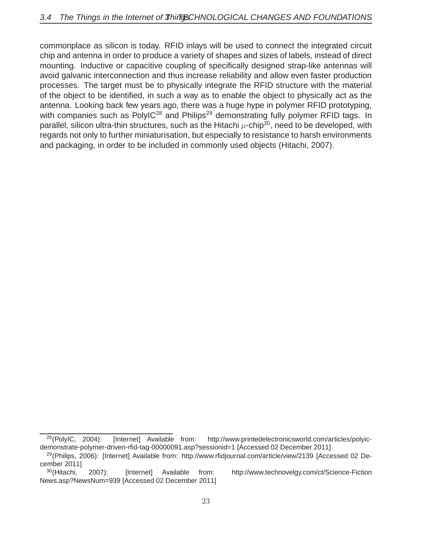commonplace as silicon is today. RFID inlays will be used to connect the integrated circuit chip and antenna in order to produce a variety of shapes and sizes of labels, instead of direct mounting. Inductive or capacitive coupling of specifically designed strap-like antennas will avoid galvanic interconnection and thus increase reliability and allow even faster production processes. The target must be to physically integrate the RFID structure with the material of the object to be identified, in such a way as to enable the object to physically act as the antenna. Looking back few years ago, there was a huge hype in polymer RFID prototyping, with companies such as PolyIC<sup>28</sup> and Philips<sup>29</sup> demonstrating fully polymer RFID tags. In parallel, silicon ultra-thin structures, such as the Hitachi  $\mu$ -chip<sup>30</sup>, need to be developed, with regards not only to further miniaturisation, but especially to resistance to harsh environments and packaging, in order to be included in commonly used objects (Hitachi, 2007).

<sup>&</sup>lt;sup>28</sup>(PolyIC, 2004): [Internet] Available from: http://www.printedelectronicsworld.com/articles/polyicdemonstrate-polymer-driven-rfid-tag-00000091.asp?sessionid=1 [Accessed 02 December 2011]

<sup>&</sup>lt;sup>29</sup>(Philips, 2006): [Internet] Available from: http://www.rfidjournal.com/article/view/2139 [Accessed 02 December 2011]

<sup>&</sup>lt;sup>30</sup>(Hitachi, 2007): [Internet] Available from: http://www.technovelgy.com/ct/Science-Fiction News.asp?NewsNum=939 [Accessed 02 December 2011]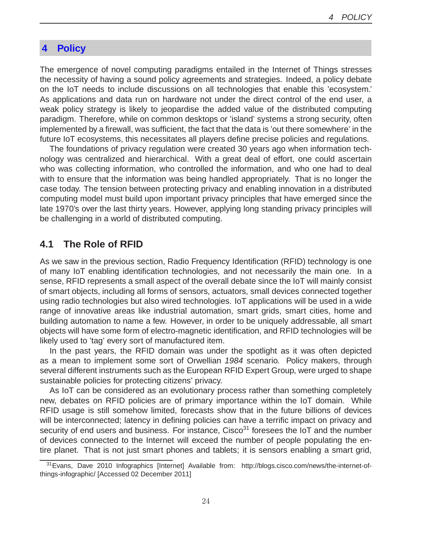#### **4 Policy**

The emergence of novel computing paradigms entailed in the Internet of Things stresses the necessity of having a sound policy agreements and strategies. Indeed, a policy debate on the IoT needs to include discussions on all technologies that enable this 'ecosystem.' As applications and data run on hardware not under the direct control of the end user, a weak policy strategy is likely to jeopardise the added value of the distributed computing paradigm. Therefore, while on common desktops or 'island' systems a strong security, often implemented by a firewall, was sufficient, the fact that the data is 'out there somewhere' in the future IoT ecosystems, this necessitates all players define precise policies and regulations.

The foundations of privacy regulation were created 30 years ago when information technology was centralized and hierarchical. With a great deal of effort, one could ascertain who was collecting information, who controlled the information, and who one had to deal with to ensure that the information was being handled appropriately. That is no longer the case today. The tension between protecting privacy and enabling innovation in a distributed computing model must build upon important privacy principles that have emerged since the late 1970's over the last thirty years. However, applying long standing privacy principles will be challenging in a world of distributed computing.

#### **4.1 The Role of RFID**

As we saw in the previous section, Radio Frequency Identification (RFID) technology is one of many IoT enabling identification technologies, and not necessarily the main one. In a sense, RFID represents a small aspect of the overall debate since the IoT will mainly consist of smart objects, including all forms of sensors, actuators, small devices connected together using radio technologies but also wired technologies. IoT applications will be used in a wide range of innovative areas like industrial automation, smart grids, smart cities, home and building automation to name a few. However, in order to be uniquely addressable, all smart objects will have some form of electro-magnetic identification, and RFID technologies will be likely used to 'tag' every sort of manufactured item.

In the past years, the RFID domain was under the spotlight as it was often depicted as a mean to implement some sort of Orwellian 1984 scenario. Policy makers, through several different instruments such as the European RFID Expert Group, were urged to shape sustainable policies for protecting citizens' privacy.

As IoT can be considered as an evolutionary process rather than something completely new, debates on RFID policies are of primary importance within the IoT domain. While RFID usage is still somehow limited, forecasts show that in the future billions of devices will be interconnected; latency in defining policies can have a terrific impact on privacy and security of end users and business. For instance, Cisco<sup>31</sup> foresees the IoT and the number of devices connected to the Internet will exceed the number of people populating the entire planet. That is not just smart phones and tablets; it is sensors enabling a smart grid,

<sup>&</sup>lt;sup>31</sup>Evans, Dave 2010 Infographics [Internet] Available from: http://blogs.cisco.com/news/the-internet-ofthings-infographic/ [Accessed 02 December 2011]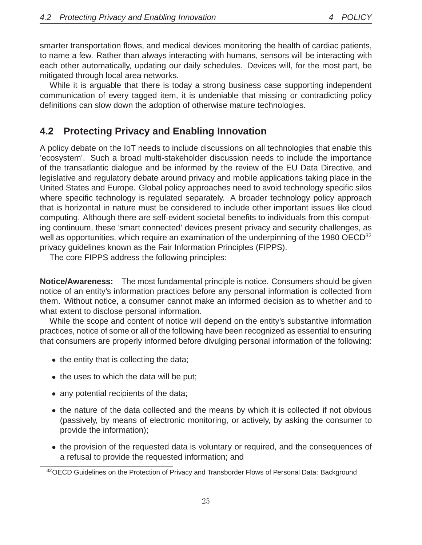smarter transportation flows, and medical devices monitoring the health of cardiac patients, to name a few. Rather than always interacting with humans, sensors will be interacting with each other automatically, updating our daily schedules. Devices will, for the most part, be mitigated through local area networks.

While it is arguable that there is today a strong business case supporting independent communication of every tagged item, it is undeniable that missing or contradicting policy definitions can slow down the adoption of otherwise mature technologies.

#### **4.2 Protecting Privacy and Enabling Innovation**

A policy debate on the IoT needs to include discussions on all technologies that enable this 'ecosystem'. Such a broad multi-stakeholder discussion needs to include the importance of the transatlantic dialogue and be informed by the review of the EU Data Directive, and legislative and regulatory debate around privacy and mobile applications taking place in the United States and Europe. Global policy approaches need to avoid technology specific silos where specific technology is regulated separately. A broader technology policy approach that is horizontal in nature must be considered to include other important issues like cloud computing. Although there are self-evident societal benefits to individuals from this computing continuum, these 'smart connected' devices present privacy and security challenges, as well as opportunities, which require an examination of the underpinning of the 1980 OECD<sup>32</sup> privacy guidelines known as the Fair Information Principles (FIPPS).

The core FIPPS address the following principles:

**Notice/Awareness:** The most fundamental principle is notice. Consumers should be given notice of an entity's information practices before any personal information is collected from them. Without notice, a consumer cannot make an informed decision as to whether and to what extent to disclose personal information.

While the scope and content of notice will depend on the entity's substantive information practices, notice of some or all of the following have been recognized as essential to ensuring that consumers are properly informed before divulging personal information of the following:

- the entity that is collecting the data;
- the uses to which the data will be put;
- any potential recipients of the data;
- the nature of the data collected and the means by which it is collected if not obvious (passively, by means of electronic monitoring, or actively, by asking the consumer to provide the information);
- the provision of the requested data is voluntary or required, and the consequences of a refusal to provide the requested information; and

<sup>&</sup>lt;sup>32</sup>OECD Guidelines on the Protection of Privacy and Transborder Flows of Personal Data: Background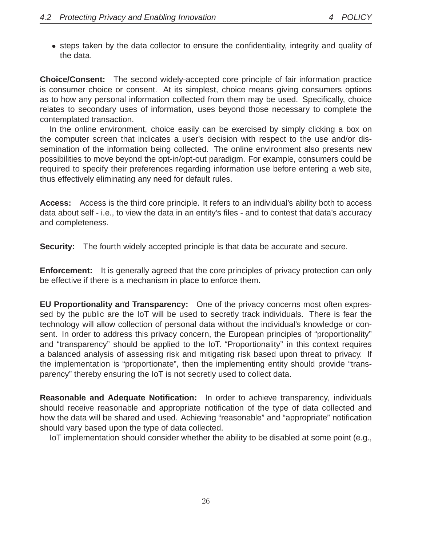• steps taken by the data collector to ensure the confidentiality, integrity and quality of the data.

**Choice/Consent:** The second widely-accepted core principle of fair information practice is consumer choice or consent. At its simplest, choice means giving consumers options as to how any personal information collected from them may be used. Specifically, choice relates to secondary uses of information, uses beyond those necessary to complete the contemplated transaction.

In the online environment, choice easily can be exercised by simply clicking a box on the computer screen that indicates a user's decision with respect to the use and/or dissemination of the information being collected. The online environment also presents new possibilities to move beyond the opt-in/opt-out paradigm. For example, consumers could be required to specify their preferences regarding information use before entering a web site, thus effectively eliminating any need for default rules.

**Access:** Access is the third core principle. It refers to an individual's ability both to access data about self - i.e., to view the data in an entity's files - and to contest that data's accuracy and completeness.

**Security:** The fourth widely accepted principle is that data be accurate and secure.

**Enforcement:** It is generally agreed that the core principles of privacy protection can only be effective if there is a mechanism in place to enforce them.

**EU Proportionality and Transparency:** One of the privacy concerns most often expressed by the public are the IoT will be used to secretly track individuals. There is fear the technology will allow collection of personal data without the individual's knowledge or consent. In order to address this privacy concern, the European principles of "proportionality" and "transparency" should be applied to the IoT. "Proportionality" in this context requires a balanced analysis of assessing risk and mitigating risk based upon threat to privacy. If the implementation is "proportionate", then the implementing entity should provide "transparency" thereby ensuring the IoT is not secretly used to collect data.

**Reasonable and Adequate Notification:** In order to achieve transparency, individuals should receive reasonable and appropriate notification of the type of data collected and how the data will be shared and used. Achieving "reasonable" and "appropriate" notification should vary based upon the type of data collected.

IoT implementation should consider whether the ability to be disabled at some point (e.g.,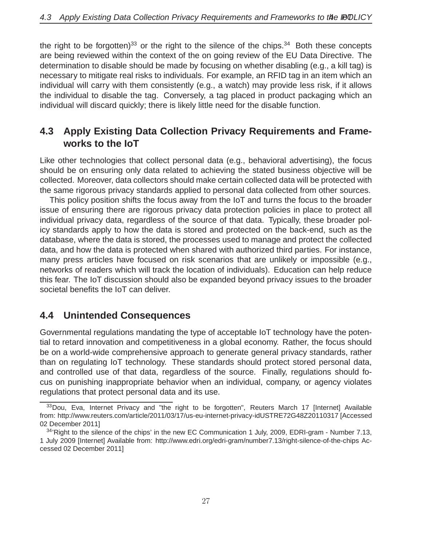the right to be forgotten)<sup>33</sup> or the right to the silence of the chips.<sup>34</sup> Both these concepts are being reviewed within the context of the on going review of the EU Data Directive. The determination to disable should be made by focusing on whether disabling (e.g., a kill tag) is necessary to mitigate real risks to individuals. For example, an RFID tag in an item which an individual will carry with them consistently (e.g., a watch) may provide less risk, if it allows the individual to disable the tag. Conversely, a tag placed in product packaging which an individual will discard quickly; there is likely little need for the disable function.

### **4.3 Apply Existing Data Collection Privacy Requirements and Frameworks to the IoT**

Like other technologies that collect personal data (e.g., behavioral advertising), the focus should be on ensuring only data related to achieving the stated business objective will be collected. Moreover, data collectors should make certain collected data will be protected with the same rigorous privacy standards applied to personal data collected from other sources.

This policy position shifts the focus away from the IoT and turns the focus to the broader issue of ensuring there are rigorous privacy data protection policies in place to protect all individual privacy data, regardless of the source of that data. Typically, these broader policy standards apply to how the data is stored and protected on the back-end, such as the database, where the data is stored, the processes used to manage and protect the collected data, and how the data is protected when shared with authorized third parties. For instance, many press articles have focused on risk scenarios that are unlikely or impossible (e.g., networks of readers which will track the location of individuals). Education can help reduce this fear. The IoT discussion should also be expanded beyond privacy issues to the broader societal benefits the IoT can deliver.

#### **4.4 Unintended Consequences**

Governmental regulations mandating the type of acceptable IoT technology have the potential to retard innovation and competitiveness in a global economy. Rather, the focus should be on a world-wide comprehensive approach to generate general privacy standards, rather than on regulating IoT technology. These standards should protect stored personal data, and controlled use of that data, regardless of the source. Finally, regulations should focus on punishing inappropriate behavior when an individual, company, or agency violates regulations that protect personal data and its use.

 $33$ Dou, Eva, Internet Privacy and "the right to be forgotten", Reuters March 17 [Internet] Available from: http://www.reuters.com/article/2011/03/17/us-eu-internet-privacy-idUSTRE72G48Z20110317 [Accessed 02 December 2011]

 $34'$ Right to the silence of the chips' in the new EC Communication 1 July, 2009, EDRI-gram - Number 7.13, 1 July 2009 [Internet] Available from: http://www.edri.org/edri-gram/number7.13/right-silence-of-the-chips Accessed 02 December 2011]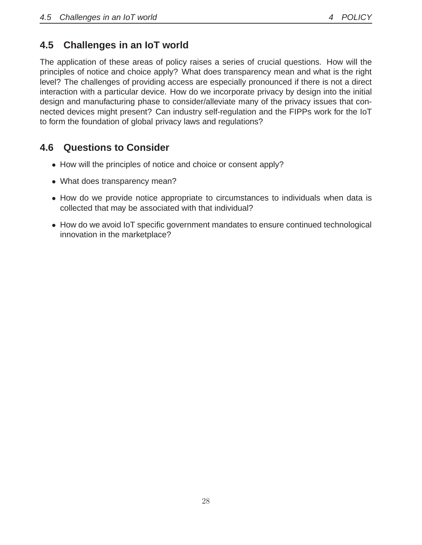### **4.5 Challenges in an IoT world**

The application of these areas of policy raises a series of crucial questions. How will the principles of notice and choice apply? What does transparency mean and what is the right level? The challenges of providing access are especially pronounced if there is not a direct interaction with a particular device. How do we incorporate privacy by design into the initial design and manufacturing phase to consider/alleviate many of the privacy issues that connected devices might present? Can industry self-regulation and the FIPPs work for the IoT to form the foundation of global privacy laws and regulations?

### **4.6 Questions to Consider**

- How will the principles of notice and choice or consent apply?
- What does transparency mean?
- How do we provide notice appropriate to circumstances to individuals when data is collected that may be associated with that individual?
- How do we avoid IoT specific government mandates to ensure continued technological innovation in the marketplace?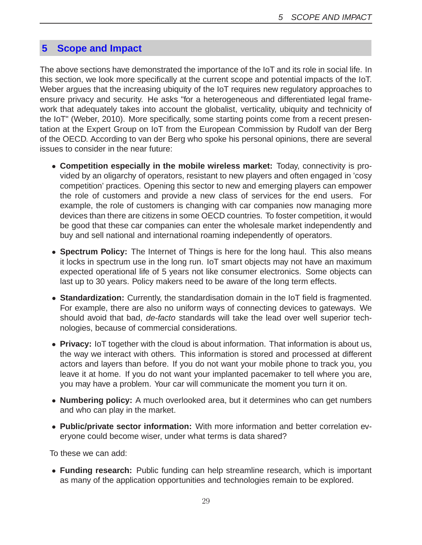#### **5 Scope and Impact**

The above sections have demonstrated the importance of the IoT and its role in social life. In this section, we look more specifically at the current scope and potential impacts of the IoT. Weber argues that the increasing ubiquity of the IoT requires new regulatory approaches to ensure privacy and security. He asks "for a heterogeneous and differentiated legal framework that adequately takes into account the globalist, verticality, ubiquity and technicity of the IoT" (Weber, 2010). More specifically, some starting points come from a recent presentation at the Expert Group on IoT from the European Commission by Rudolf van der Berg of the OECD. According to van der Berg who spoke his personal opinions, there are several issues to consider in the near future:

- **Competition especially in the mobile wireless market:** Today, connectivity is provided by an oligarchy of operators, resistant to new players and often engaged in 'cosy competition' practices. Opening this sector to new and emerging players can empower the role of customers and provide a new class of services for the end users. For example, the role of customers is changing with car companies now managing more devices than there are citizens in some OECD countries. To foster competition, it would be good that these car companies can enter the wholesale market independently and buy and sell national and international roaming independently of operators.
- **Spectrum Policy:** The Internet of Things is here for the long haul. This also means it locks in spectrum use in the long run. IoT smart objects may not have an maximum expected operational life of 5 years not like consumer electronics. Some objects can last up to 30 years. Policy makers need to be aware of the long term effects.
- **Standardization:** Currently, the standardisation domain in the IoT field is fragmented. For example, there are also no uniform ways of connecting devices to gateways. We should avoid that bad, de-facto standards will take the lead over well superior technologies, because of commercial considerations.
- **Privacy:** IoT together with the cloud is about information. That information is about us, the way we interact with others. This information is stored and processed at different actors and layers than before. If you do not want your mobile phone to track you, you leave it at home. If you do not want your implanted pacemaker to tell where you are, you may have a problem. Your car will communicate the moment you turn it on.
- **Numbering policy:** A much overlooked area, but it determines who can get numbers and who can play in the market.
- **Public/private sector information:** With more information and better correlation everyone could become wiser, under what terms is data shared?

To these we can add:

• **Funding research:** Public funding can help streamline research, which is important as many of the application opportunities and technologies remain to be explored.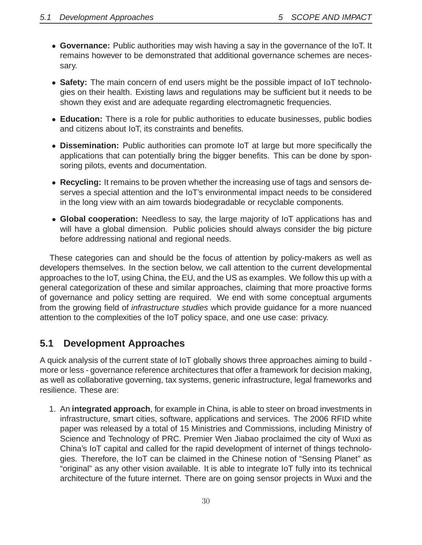- **Governance:** Public authorities may wish having a say in the governance of the IoT. It remains however to be demonstrated that additional governance schemes are necessary.
- **Safety:** The main concern of end users might be the possible impact of IoT technologies on their health. Existing laws and regulations may be sufficient but it needs to be shown they exist and are adequate regarding electromagnetic frequencies.
- **Education:** There is a role for public authorities to educate businesses, public bodies and citizens about IoT, its constraints and benefits.
- **Dissemination:** Public authorities can promote IoT at large but more specifically the applications that can potentially bring the bigger benefits. This can be done by sponsoring pilots, events and documentation.
- **Recycling:** It remains to be proven whether the increasing use of tags and sensors deserves a special attention and the IoT's environmental impact needs to be considered in the long view with an aim towards biodegradable or recyclable components.
- **Global cooperation:** Needless to say, the large majority of IoT applications has and will have a global dimension. Public policies should always consider the big picture before addressing national and regional needs.

These categories can and should be the focus of attention by policy-makers as well as developers themselves. In the section below, we call attention to the current developmental approaches to the IoT, using China, the EU, and the US as examples. We follow this up with a general categorization of these and similar approaches, claiming that more proactive forms of governance and policy setting are required. We end with some conceptual arguments from the growing field of infrastructure studies which provide guidance for a more nuanced attention to the complexities of the IoT policy space, and one use case: privacy.

### **5.1 Development Approaches**

A quick analysis of the current state of IoT globally shows three approaches aiming to build more or less - governance reference architectures that offer a framework for decision making, as well as collaborative governing, tax systems, generic infrastructure, legal frameworks and resilience. These are:

1. An **integrated approach**, for example in China, is able to steer on broad investments in infrastructure, smart cities, software, applications and services. The 2006 RFID white paper was released by a total of 15 Ministries and Commissions, including Ministry of Science and Technology of PRC. Premier Wen Jiabao proclaimed the city of Wuxi as China's IoT capital and called for the rapid development of internet of things technologies. Therefore, the IoT can be claimed in the Chinese notion of "Sensing Planet" as "original" as any other vision available. It is able to integrate IoT fully into its technical architecture of the future internet. There are on going sensor projects in Wuxi and the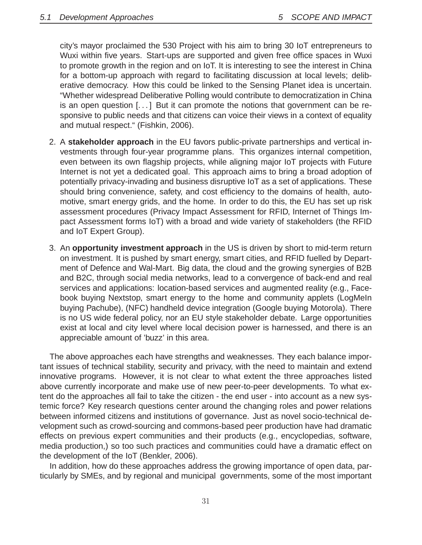city's mayor proclaimed the 530 Project with his aim to bring 30 IoT entrepreneurs to Wuxi within five years. Start-ups are supported and given free office spaces in Wuxi to promote growth in the region and on IoT. It is interesting to see the interest in China for a bottom-up approach with regard to facilitating discussion at local levels; deliberative democracy. How this could be linked to the Sensing Planet idea is uncertain. "Whether widespread Deliberative Polling would contribute to democratization in China is an open question  $\lceil \ldots \rceil$  But it can promote the notions that government can be responsive to public needs and that citizens can voice their views in a context of equality and mutual respect." (Fishkin, 2006).

- 2. A **stakeholder approach** in the EU favors public-private partnerships and vertical investments through four-year programme plans. This organizes internal competition, even between its own flagship projects, while aligning major IoT projects with Future Internet is not yet a dedicated goal. This approach aims to bring a broad adoption of potentially privacy-invading and business disruptive IoT as a set of applications. These should bring convenience, safety, and cost efficiency to the domains of health, automotive, smart energy grids, and the home. In order to do this, the EU has set up risk assessment procedures (Privacy Impact Assessment for RFID, Internet of Things Impact Assessment forms IoT) with a broad and wide variety of stakeholders (the RFID and IoT Expert Group).
- 3. An **opportunity investment approach** in the US is driven by short to mid-term return on investment. It is pushed by smart energy, smart cities, and RFID fuelled by Department of Defence and Wal-Mart. Big data, the cloud and the growing synergies of B2B and B2C, through social media networks, lead to a convergence of back-end and real services and applications: location-based services and augmented reality (e.g., Facebook buying Nextstop, smart energy to the home and community applets (LogMeIn buying Pachube), (NFC) handheld device integration (Google buying Motorola). There is no US wide federal policy, nor an EU style stakeholder debate. Large opportunities exist at local and city level where local decision power is harnessed, and there is an appreciable amount of 'buzz' in this area.

The above approaches each have strengths and weaknesses. They each balance important issues of technical stability, security and privacy, with the need to maintain and extend innovative programs. However, it is not clear to what extent the three approaches listed above currently incorporate and make use of new peer-to-peer developments. To what extent do the approaches all fail to take the citizen - the end user - into account as a new systemic force? Key research questions center around the changing roles and power relations between informed citizens and institutions of governance. Just as novel socio-technical development such as crowd-sourcing and commons-based peer production have had dramatic effects on previous expert communities and their products (e.g., encyclopedias, software, media production,) so too such practices and communities could have a dramatic effect on the development of the IoT (Benkler, 2006).

In addition, how do these approaches address the growing importance of open data, particularly by SMEs, and by regional and municipal governments, some of the most important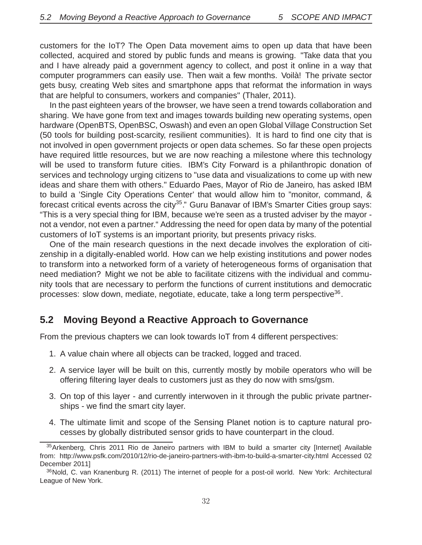customers for the IoT? The Open Data movement aims to open up data that have been collected, acquired and stored by public funds and means is growing. "Take data that you and I have already paid a government agency to collect, and post it online in a way that computer programmers can easily use. Then wait a few months. Voilà! The private sector gets busy, creating Web sites and smartphone apps that reformat the information in ways that are helpful to consumers, workers and companies" (Thaler, 2011).

In the past eighteen years of the browser, we have seen a trend towards collaboration and sharing. We have gone from text and images towards building new operating systems, open hardware (OpenBTS, OpenBSC, Oswash) and even an open Global Village Construction Set (50 tools for building post-scarcity, resilient communities). It is hard to find one city that is not involved in open government projects or open data schemes. So far these open projects have required little resources, but we are now reaching a milestone where this technology will be used to transform future cities. IBM's City Forward is a philanthropic donation of services and technology urging citizens to "use data and visualizations to come up with new ideas and share them with others." Eduardo Paes, Mayor of Rio de Janeiro, has asked IBM to build a 'Single City Operations Center' that would allow him to "monitor, command, & forecast critical events across the city<sup>35</sup>." Guru Banavar of IBM's Smarter Cities group says: "This is a very special thing for IBM, because we're seen as a trusted adviser by the mayor not a vendor, not even a partner." Addressing the need for open data by many of the potential customers of IoT systems is an important priority, but presents privacy risks.

One of the main research questions in the next decade involves the exploration of citizenship in a digitally-enabled world. How can we help existing institutions and power nodes to transform into a networked form of a variety of heterogeneous forms of organisation that need mediation? Might we not be able to facilitate citizens with the individual and community tools that are necessary to perform the functions of current institutions and democratic processes: slow down, mediate, negotiate, educate, take a long term perspective<sup>36</sup>.

#### **5.2 Moving Beyond a Reactive Approach to Governance**

From the previous chapters we can look towards IoT from 4 different perspectives:

- 1. A value chain where all objects can be tracked, logged and traced.
- 2. A service layer will be built on this, currently mostly by mobile operators who will be offering filtering layer deals to customers just as they do now with sms/gsm.
- 3. On top of this layer and currently interwoven in it through the public private partnerships - we find the smart city layer.
- 4. The ultimate limit and scope of the Sensing Planet notion is to capture natural processes by globally distributed sensor grids to have counterpart in the cloud.

<sup>&</sup>lt;sup>35</sup>Arkenberg, Chris 2011 Rio de Janeiro partners with IBM to build a smarter city [Internet] Available from: http://www.psfk.com/2010/12/rio-de-janeiro-partners-with-ibm-to-build-a-smarter-city.html Accessed 02 December 2011]

 $36$ Nold, C. van Kranenburg R. (2011) The internet of people for a post-oil world. New York: Architectural League of New York.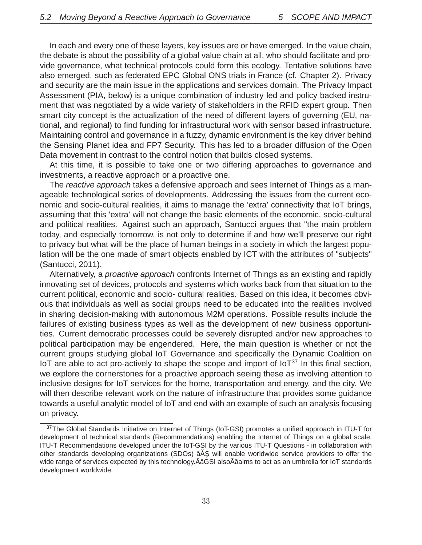In each and every one of these layers, key issues are or have emerged. In the value chain, the debate is about the possibility of a global value chain at all, who should facilitate and provide governance, what technical protocols could form this ecology. Tentative solutions have also emerged, such as federated EPC Global ONS trials in France (cf. Chapter 2). Privacy and security are the main issue in the applications and services domain. The Privacy Impact Assessment (PIA, below) is a unique combination of industry led and policy backed instrument that was negotiated by a wide variety of stakeholders in the RFID expert group. Then smart city concept is the actualization of the need of different layers of governing (EU, national, and regional) to find funding for infrastructural work with sensor based infrastructure. Maintaining control and governance in a fuzzy, dynamic environment is the key driver behind the Sensing Planet idea and FP7 Security. This has led to a broader diffusion of the Open Data movement in contrast to the control notion that builds closed systems.

At this time, it is possible to take one or two differing approaches to governance and investments, a reactive approach or a proactive one.

The reactive approach takes a defensive approach and sees Internet of Things as a manageable technological series of developments. Addressing the issues from the current economic and socio-cultural realities, it aims to manage the 'extra' connectivity that IoT brings, assuming that this 'extra' will not change the basic elements of the economic, socio-cultural and political realities. Against such an approach, Santucci argues that "the main problem today, and especially tomorrow, is not only to determine if and how we'll preserve our right to privacy but what will be the place of human beings in a society in which the largest population will be the one made of smart objects enabled by ICT with the attributes of "subjects" (Santucci, 2011).

Alternatively, a *proactive approach* confronts Internet of Things as an existing and rapidly innovating set of devices, protocols and systems which works back from that situation to the current political, economic and socio- cultural realities. Based on this idea, it becomes obvious that individuals as well as social groups need to be educated into the realities involved in sharing decision-making with autonomous M2M operations. Possible results include the failures of existing business types as well as the development of new business opportunities. Current democratic processes could be severely disrupted and/or new approaches to political participation may be engendered. Here, the main question is whether or not the current groups studying global IoT Governance and specifically the Dynamic Coalition on IoT are able to act pro-actively to shape the scope and import of  $I\circ T^{37}$  In this final section, we explore the cornerstones for a proactive approach seeing these as involving attention to inclusive designs for IoT services for the home, transportation and energy, and the city. We will then describe relevant work on the nature of infrastructure that provides some guidance towards a useful analytic model of IoT and end with an example of such an analysis focusing on privacy.

<sup>37</sup>The Global Standards Initiative on Internet of Things (IoT-GSI) promotes a unified approach in ITU-T for development of technical standards (Recommendations) enabling the Internet of Things on a global scale. ITU-T Recommendations developed under the IoT-GSI by the various ITU-T Questions - in collaboration with other standards developing organizations (SDOs) âÅŞ will enable worldwide service providers to offer the wide range of services expected by this technology. ÂăGSI also Âă aims to act as an umbrella for IoT standards development worldwide.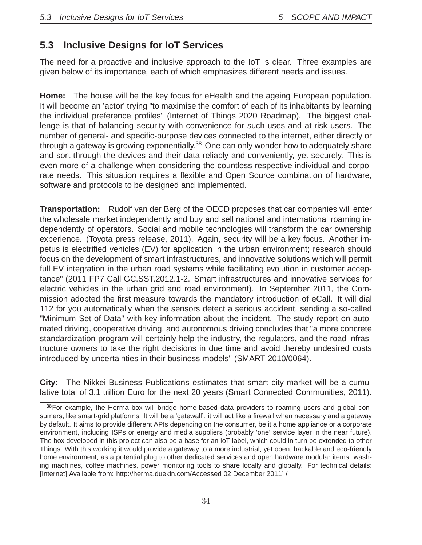### **5.3 Inclusive Designs for IoT Services**

The need for a proactive and inclusive approach to the IoT is clear. Three examples are given below of its importance, each of which emphasizes different needs and issues.

**Home:** The house will be the key focus for eHealth and the ageing European population. It will become an 'actor' trying "to maximise the comfort of each of its inhabitants by learning the individual preference profiles" (Internet of Things 2020 Roadmap). The biggest challenge is that of balancing security with convenience for such uses and at-risk users. The number of general- and specific-purpose devices connected to the internet, either directly or through a gateway is growing exponentially.<sup>38</sup> One can only wonder how to adequately share and sort through the devices and their data reliably and conveniently, yet securely. This is even more of a challenge when considering the countless respective individual and corporate needs. This situation requires a flexible and Open Source combination of hardware, software and protocols to be designed and implemented.

**Transportation:** Rudolf van der Berg of the OECD proposes that car companies will enter the wholesale market independently and buy and sell national and international roaming independently of operators. Social and mobile technologies will transform the car ownership experience. (Toyota press release, 2011). Again, security will be a key focus. Another impetus is electrified vehicles (EV) for application in the urban environment; research should focus on the development of smart infrastructures, and innovative solutions which will permit full EV integration in the urban road systems while facilitating evolution in customer acceptance" (2011 FP7 Call GC.SST.2012.1-2. Smart infrastructures and innovative services for electric vehicles in the urban grid and road environment). In September 2011, the Commission adopted the first measure towards the mandatory introduction of eCall. It will dial 112 for you automatically when the sensors detect a serious accident, sending a so-called "Minimum Set of Data" with key information about the incident. The study report on automated driving, cooperative driving, and autonomous driving concludes that "a more concrete standardization program will certainly help the industry, the regulators, and the road infrastructure owners to take the right decisions in due time and avoid thereby undesired costs introduced by uncertainties in their business models" (SMART 2010/0064).

**City:** The Nikkei Business Publications estimates that smart city market will be a cumulative total of 3.1 trillion Euro for the next 20 years (Smart Connected Communities, 2011).

<sup>38</sup>For example, the Herma box will bridge home-based data providers to roaming users and global consumers, like smart-grid platforms. It will be a 'gatewall': it will act like a firewall when necessary and a gateway by default. It aims to provide different APIs depending on the consumer, be it a home appliance or a corporate environment, including ISPs or energy and media suppliers (probably 'one' service layer in the near future). The box developed in this project can also be a base for an IoT label, which could in turn be extended to other Things. With this working it would provide a gateway to a more industrial, yet open, hackable and eco-friendly home environment, as a potential plug to other dedicated services and open hardware modular items: washing machines, coffee machines, power monitoring tools to share locally and globally. For technical details: [Internet] Available from: http://herma.duekin.com/Accessed 02 December 2011] /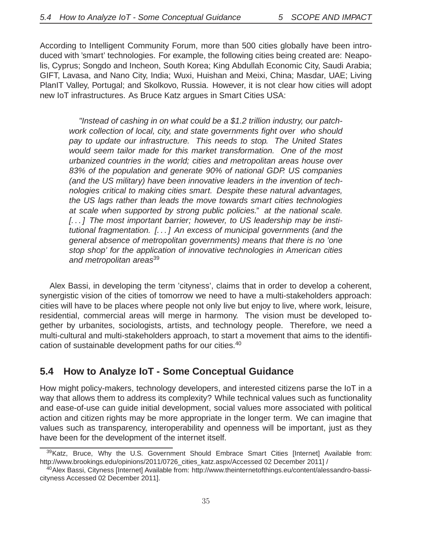According to Intelligent Community Forum, more than 500 cities globally have been introduced with 'smart' technologies. For example, the following cities being created are: Neapolis, Cyprus; Songdo and Incheon, South Korea; King Abdullah Economic City, Saudi Arabia; GIFT, Lavasa, and Nano City, India; Wuxi, Huishan and Meixi, China; Masdar, UAE; Living PlanIT Valley, Portugal; and Skolkovo, Russia. However, it is not clear how cities will adopt new IoT infrastructures. As Bruce Katz argues in Smart Cities USA:

"Instead of cashing in on what could be a \$1.2 trillion industry, our patchwork collection of local, city, and state governments fight over who should pay to update our infrastructure. This needs to stop. The United States would seem tailor made for this market transformation. One of the most urbanized countries in the world; cities and metropolitan areas house over 83% of the population and generate 90% of national GDP. US companies (and the US military) have been innovative leaders in the invention of technologies critical to making cities smart. Despite these natural advantages, the US lags rather than leads the move towards smart cities technologies at scale when supported by strong public policies." at the national scale. [. . . ] The most important barrier; however, to US leadership may be institutional fragmentation. [. . . ] An excess of municipal governments (and the general absence of metropolitan governments) means that there is no 'one stop shop' for the application of innovative technologies in American cities and metropolitan areas<sup>39</sup>

Alex Bassi, in developing the term 'cityness', claims that in order to develop a coherent, synergistic vision of the cities of tomorrow we need to have a multi-stakeholders approach: cities will have to be places where people not only live but enjoy to live, where work, leisure, residential, commercial areas will merge in harmony. The vision must be developed together by urbanites, sociologists, artists, and technology people. Therefore, we need a multi-cultural and multi-stakeholders approach, to start a movement that aims to the identification of sustainable development paths for our cities.<sup>40</sup>

### **5.4 How to Analyze IoT - Some Conceptual Guidance**

How might policy-makers, technology developers, and interested citizens parse the IoT in a way that allows them to address its complexity? While technical values such as functionality and ease-of-use can guide initial development, social values more associated with political action and citizen rights may be more appropriate in the longer term. We can imagine that values such as transparency, interoperability and openness will be important, just as they have been for the development of the internet itself.

<sup>&</sup>lt;sup>39</sup>Katz, Bruce, Why the U.S. Government Should Embrace Smart Cities [Internet] Available from: http://www.brookings.edu/opinions/2011/0726\_cities\_katz.aspx/Accessed 02 December 2011] /

<sup>40</sup>Alex Bassi, Cityness [Internet] Available from: http://www.theinternetofthings.eu/content/alessandro-bassicityness Accessed 02 December 2011].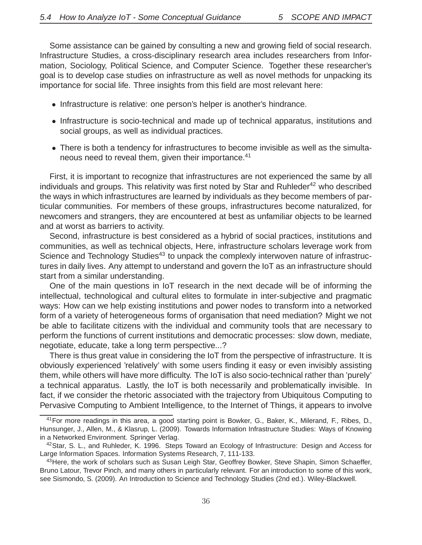Some assistance can be gained by consulting a new and growing field of social research. Infrastructure Studies, a cross-disciplinary research area includes researchers from Information, Sociology, Political Science, and Computer Science. Together these researcher's goal is to develop case studies on infrastructure as well as novel methods for unpacking its importance for social life. Three insights from this field are most relevant here:

- Infrastructure is relative: one person's helper is another's hindrance.
- Infrastructure is socio-technical and made up of technical apparatus, institutions and social groups, as well as individual practices.
- There is both a tendency for infrastructures to become invisible as well as the simultaneous need to reveal them, given their importance.<sup>41</sup>

First, it is important to recognize that infrastructures are not experienced the same by all individuals and groups. This relativity was first noted by Star and Ruhleder<sup>42</sup> who described the ways in which infrastructures are learned by individuals as they become members of particular communities. For members of these groups, infrastructures become naturalized, for newcomers and strangers, they are encountered at best as unfamiliar objects to be learned and at worst as barriers to activity.

Second, infrastructure is best considered as a hybrid of social practices, institutions and communities, as well as technical objects, Here, infrastructure scholars leverage work from Science and Technology Studies<sup>43</sup> to unpack the complexly interwoven nature of infrastructures in daily lives. Any attempt to understand and govern the IoT as an infrastructure should start from a similar understanding.

One of the main questions in IoT research in the next decade will be of informing the intellectual, technological and cultural elites to formulate in inter-subjective and pragmatic ways: How can we help existing institutions and power nodes to transform into a networked form of a variety of heterogeneous forms of organisation that need mediation? Might we not be able to facilitate citizens with the individual and community tools that are necessary to perform the functions of current institutions and democratic processes: slow down, mediate, negotiate, educate, take a long term perspective...?

There is thus great value in considering the IoT from the perspective of infrastructure. It is obviously experienced 'relatively' with some users finding it easy or even invisibly assisting them, while others will have more difficulty. The IoT is also socio-technical rather than 'purely' a technical apparatus. Lastly, the IoT is both necessarily and problematically invisible. In fact, if we consider the rhetoric associated with the trajectory from Ubiquitous Computing to Pervasive Computing to Ambient Intelligence, to the Internet of Things, it appears to involve

<sup>41</sup>For more readings in this area, a good starting point is Bowker, G., Baker, K., Milerand, F., Ribes, D., Hunsunger, J., Allen, M., & Klasrup, L. (2009). Towards Information Infrastructure Studies: Ways of Knowing in a Networked Environment. Springer Verlag.

 $42$ Star, S. L., and Ruhleder, K. 1996. Steps Toward an Ecology of Infrastructure: Design and Access for Large Information Spaces. Information Systems Research, 7, 111-133.

<sup>43</sup> Here, the work of scholars such as Susan Leigh Star, Geoffrey Bowker, Steve Shapin, Simon Schaeffer, Bruno Latour, Trevor Pinch, and many others in particularly relevant. For an introduction to some of this work, see Sismondo, S. (2009). An Introduction to Science and Technology Studies (2nd ed.). Wiley-Blackwell.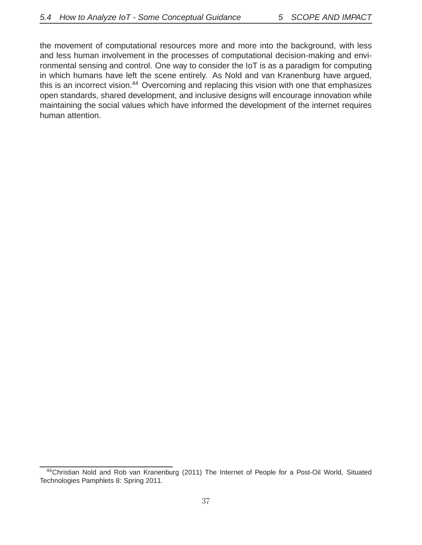the movement of computational resources more and more into the background, with less and less human involvement in the processes of computational decision-making and environmental sensing and control. One way to consider the IoT is as a paradigm for computing in which humans have left the scene entirely. As Nold and van Kranenburg have argued, this is an incorrect vision.<sup>44</sup> Overcoming and replacing this vision with one that emphasizes open standards, shared development, and inclusive designs will encourage innovation while maintaining the social values which have informed the development of the internet requires human attention.

<sup>44</sup> Christian Nold and Rob van Kranenburg (2011) The Internet of People for a Post-Oil World, Situated Technologies Pamphlets 8: Spring 2011.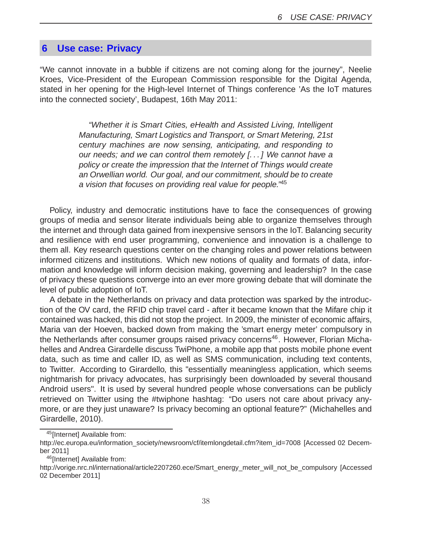#### **6 Use case: Privacy**

"We cannot innovate in a bubble if citizens are not coming along for the journey", Neelie Kroes, Vice-President of the European Commission responsible for the Digital Agenda, stated in her opening for the High-level Internet of Things conference 'As the IoT matures into the connected society', Budapest, 16th May 2011:

> "Whether it is Smart Cities, eHealth and Assisted Living, Intelligent Manufacturing, Smart Logistics and Transport, or Smart Metering, 21st century machines are now sensing, anticipating, and responding to our needs; and we can control them remotely [...] We cannot have a policy or create the impression that the Internet of Things would create an Orwellian world. Our goal, and our commitment, should be to create a vision that focuses on providing real value for people."45

Policy, industry and democratic institutions have to face the consequences of growing groups of media and sensor literate individuals being able to organize themselves through the internet and through data gained from inexpensive sensors in the IoT. Balancing security and resilience with end user programming, convenience and innovation is a challenge to them all. Key research questions center on the changing roles and power relations between informed citizens and institutions. Which new notions of quality and formats of data, information and knowledge will inform decision making, governing and leadership? In the case of privacy these questions converge into an ever more growing debate that will dominate the level of public adoption of IoT.

A debate in the Netherlands on privacy and data protection was sparked by the introduction of the OV card, the RFID chip travel card - after it became known that the Mifare chip it contained was hacked, this did not stop the project. In 2009, the minister of economic affairs, Maria van der Hoeven, backed down from making the 'smart energy meter' compulsory in the Netherlands after consumer groups raised privacy concerns<sup>46</sup>. However, Florian Michahelles and Andrea Girardelle discuss TwiPhone, a mobile app that posts mobile phone event data, such as time and caller ID, as well as SMS communication, including text contents, to Twitter. According to Girardello, this "essentially meaningless application, which seems nightmarish for privacy advocates, has surprisingly been downloaded by several thousand Android users". It is used by several hundred people whose conversations can be publicly retrieved on Twitter using the #twiphone hashtag: "Do users not care about privacy anymore, or are they just unaware? Is privacy becoming an optional feature?" (Michahelles and Girardelle, 2010).

<sup>45</sup>[Internet] Available from:

http://ec.europa.eu/information\_society/newsroom/cf/itemlongdetail.cfm?item\_id=7008 [Accessed 02 December 2011]

<sup>46</sup>[Internet] Available from:

http://vorige.nrc.nl/international/article2207260.ece/Smart\_energy\_meter\_will\_not\_be\_compulsory [Accessed 02 December 2011]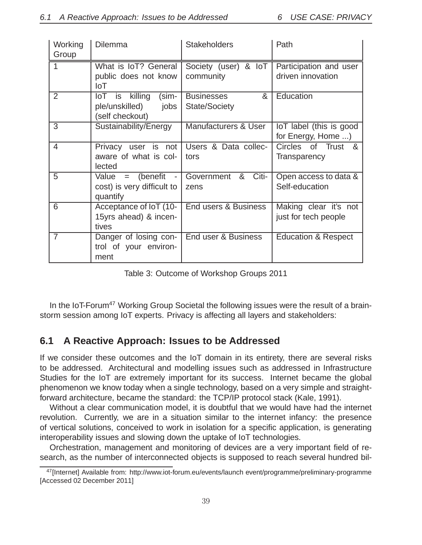| Working<br>Group | <b>Dilemma</b>                                                                       | <b>Stakeholders</b>                            | Path                                          |
|------------------|--------------------------------------------------------------------------------------|------------------------------------------------|-----------------------------------------------|
|                  | What is IoT? General<br>public does not know<br>$I \circ T$                          | Society (user) & IoT<br>community              | Participation and user<br>driven innovation   |
| 2                | (sim-<br>is killing<br>loT.<br>ple/unskilled)<br>jobs<br>(self checkout)             | &<br><b>Businesses</b><br><b>State/Society</b> | Education                                     |
| 3                | Sustainability/Energy                                                                | Manufacturers & User                           | IoT label (this is good<br>for Energy, Home ) |
| 4                | Privacy user is not<br>aware of what is col-<br>lected                               | Users & Data collec-<br>tors                   | Circles of Trust<br>- &<br>Transparency       |
| 5                | $\bar{\mathsf{Value}}$<br>(benefit)<br>$=$<br>cost) is very difficult to<br>quantify | Citi-<br>&<br>Government<br>zens               | Open access to data &<br>Self-education       |
| 6                | Acceptance of IoT (10-<br>15yrs ahead) & incen-<br>tives                             | End users & Business                           | Making clear it's not<br>just for tech people |
| $\overline{7}$   | Danger of losing con-<br>trol of your environ-<br>ment                               | End user & Business                            | <b>Education &amp; Respect</b>                |

Table 3: Outcome of Workshop Groups 2011

In the IoT-Forum<sup>47</sup> Working Group Societal the following issues were the result of a brainstorm session among IoT experts. Privacy is affecting all layers and stakeholders:

#### **6.1 A Reactive Approach: Issues to be Addressed**

If we consider these outcomes and the IoT domain in its entirety, there are several risks to be addressed. Architectural and modelling issues such as addressed in Infrastructure Studies for the IoT are extremely important for its success. Internet became the global phenomenon we know today when a single technology, based on a very simple and straightforward architecture, became the standard: the TCP/IP protocol stack (Kale, 1991).

Without a clear communication model, it is doubtful that we would have had the internet revolution. Currently, we are in a situation similar to the internet infancy: the presence of vertical solutions, conceived to work in isolation for a specific application, is generating interoperability issues and slowing down the uptake of IoT technologies.

Orchestration, management and monitoring of devices are a very important field of research, as the number of interconnected objects is supposed to reach several hundred bil-

<sup>47[</sup>Internet] Available from: http://www.iot-forum.eu/events/launch event/programme/preliminary-programme [Accessed 02 December 2011]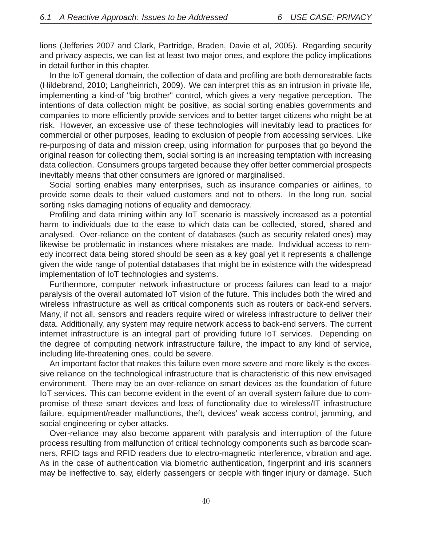lions (Jefferies 2007 and Clark, Partridge, Braden, Davie et al, 2005). Regarding security and privacy aspects, we can list at least two major ones, and explore the policy implications in detail further in this chapter.

In the IoT general domain, the collection of data and profiling are both demonstrable facts (Hildebrand, 2010; Langheinrich, 2009). We can interpret this as an intrusion in private life, implementing a kind-of "big brother" control, which gives a very negative perception. The intentions of data collection might be positive, as social sorting enables governments and companies to more efficiently provide services and to better target citizens who might be at risk. However, an excessive use of these technologies will inevitably lead to practices for commercial or other purposes, leading to exclusion of people from accessing services. Like re-purposing of data and mission creep, using information for purposes that go beyond the original reason for collecting them, social sorting is an increasing temptation with increasing data collection. Consumers groups targeted because they offer better commercial prospects inevitably means that other consumers are ignored or marginalised.

Social sorting enables many enterprises, such as insurance companies or airlines, to provide some deals to their valued customers and not to others. In the long run, social sorting risks damaging notions of equality and democracy.

Profiling and data mining within any IoT scenario is massively increased as a potential harm to individuals due to the ease to which data can be collected, stored, shared and analysed. Over-reliance on the content of databases (such as security related ones) may likewise be problematic in instances where mistakes are made. Individual access to remedy incorrect data being stored should be seen as a key goal yet it represents a challenge given the wide range of potential databases that might be in existence with the widespread implementation of IoT technologies and systems.

Furthermore, computer network infrastructure or process failures can lead to a major paralysis of the overall automated IoT vision of the future. This includes both the wired and wireless infrastructure as well as critical components such as routers or back-end servers. Many, if not all, sensors and readers require wired or wireless infrastructure to deliver their data. Additionally, any system may require network access to back-end servers. The current internet infrastructure is an integral part of providing future IoT services. Depending on the degree of computing network infrastructure failure, the impact to any kind of service, including life-threatening ones, could be severe.

An important factor that makes this failure even more severe and more likely is the excessive reliance on the technological infrastructure that is characteristic of this new envisaged environment. There may be an over-reliance on smart devices as the foundation of future IoT services. This can become evident in the event of an overall system failure due to compromise of these smart devices and loss of functionality due to wireless/IT infrastructure failure, equipment/reader malfunctions, theft, devices' weak access control, jamming, and social engineering or cyber attacks.

Over-reliance may also become apparent with paralysis and interruption of the future process resulting from malfunction of critical technology components such as barcode scanners, RFID tags and RFID readers due to electro-magnetic interference, vibration and age. As in the case of authentication via biometric authentication, fingerprint and iris scanners may be ineffective to, say, elderly passengers or people with finger injury or damage. Such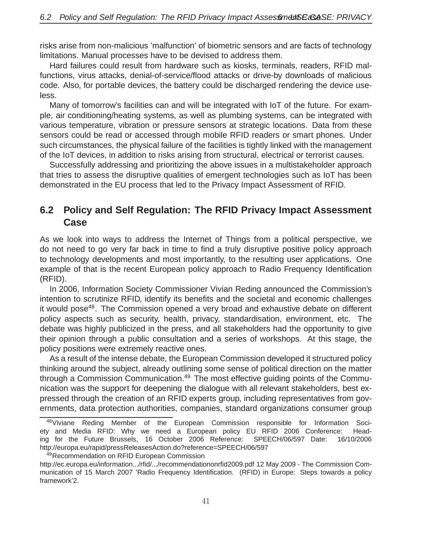risks arise from non-malicious 'malfunction' of biometric sensors and are facts of technology limitations. Manual processes have to be devised to address them.

Hard failures could result from hardware such as kiosks, terminals, readers, RFID malfunctions, virus attacks, denial-of-service/flood attacks or drive-by downloads of malicious code. Also, for portable devices, the battery could be discharged rendering the device useless.

Many of tomorrow's facilities can and will be integrated with IoT of the future. For example, air conditioning/heating systems, as well as plumbing systems, can be integrated with various temperature, vibration or pressure sensors at strategic locations. Data from these sensors could be read or accessed through mobile RFID readers or smart phones. Under such circumstances, the physical failure of the facilities is tightly linked with the management of the IoT devices, in addition to risks arising from structural, electrical or terrorist causes.

Successfully addressing and prioritizing the above issues in a multistakeholder approach that tries to assess the disruptive qualities of emergent technologies such as IoT has been demonstrated in the EU process that led to the Privacy Impact Assessment of RFID.

### **6.2 Policy and Self Regulation: The RFID Privacy Impact Assessment Case**

As we look into ways to address the Internet of Things from a political perspective, we do not need to go very far back in time to find a truly disruptive positive policy approach to technology developments and most importantly, to the resulting user applications. One example of that is the recent European policy approach to Radio Frequency Identification (RFID).

In 2006, Information Society Commissioner Vivian Reding announced the Commission's intention to scrutinize RFID, identify its benefits and the societal and economic challenges it would pose<sup>48</sup>. The Commission opened a very broad and exhaustive debate on different policy aspects such as security, health, privacy, standardisation, environment, etc. The debate was highly publicized in the press, and all stakeholders had the opportunity to give their opinion through a public consultation and a series of workshops. At this stage, the policy positions were extremely reactive ones.

As a result of the intense debate, the European Commission developed it structured policy thinking around the subject, already outlining some sense of political direction on the matter through a Commission Communication.<sup>49</sup> The most effective guiding points of the Communication was the support for deepening the dialogue with all relevant stakeholders, best expressed through the creation of an RFID experts group, including representatives from governments, data protection authorities, companies, standard organizations consumer group

<sup>49</sup>Recommendation on RFID European Commission

<sup>48</sup>Viviane Reding Member of the European Commission responsible for Information Society and Media RFID: Why we need a European policy EU RFID 2006 Conference: Heading for the Future Brussels, 16 October 2006 Reference: SPEECH/06/597 Date: 16/10/2006 http://europa.eu/rapid/pressReleasesAction.do?reference=SPEECH/06/597

http://ec.europa.eu/information.../rfid/.../recommendationonrfid2009.pdf 12 May 2009 - The Commission Communication of 15 March 2007 'Radio Frequency Identification. (RFID) in Europe: Steps towards a policy framework'2.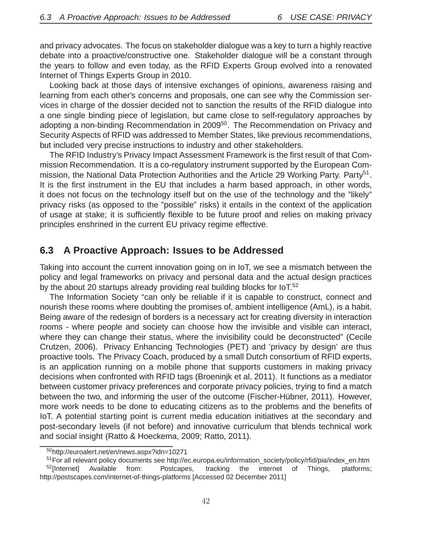and privacy advocates. The focus on stakeholder dialogue was a key to turn a highly reactive debate into a proactive/constructive one. Stakeholder dialogue will be a constant through the years to follow and even today, as the RFID Experts Group evolved into a renovated Internet of Things Experts Group in 2010.

Looking back at those days of intensive exchanges of opinions, awareness raising and learning from each other's concerns and proposals, one can see why the Commission services in charge of the dossier decided not to sanction the results of the RFID dialogue into a one single binding piece of legislation, but came close to self-regulatory approaches by adopting a non-binding Recommendation in 2009<sup>50</sup>. The Recommendation on Privacy and Security Aspects of RFID was addressed to Member States, like previous recommendations, but included very precise instructions to industry and other stakeholders.

The RFID Industry's Privacy Impact Assessment Framework is the first result of that Commission Recommendation. It is a co-regulatory instrument supported by the European Commission, the National Data Protection Authorities and the Article 29 Working Party. Party<sup>51</sup>. It is the first instrument in the EU that includes a harm based approach, in other words, it does not focus on the technology itself but on the use of the technology and the "likely" privacy risks (as opposed to the "possible" risks) it entails in the context of the application of usage at stake; it is sufficiently flexible to be future proof and relies on making privacy principles enshrined in the current EU privacy regime effective.

#### **6.3 A Proactive Approach: Issues to be Addressed**

Taking into account the current innovation going on in IoT, we see a mismatch between the policy and legal frameworks on privacy and personal data and the actual design practices by the about 20 startups already providing real building blocks for IoT.<sup>52</sup>

The Information Society "can only be reliable if it is capable to construct, connect and nourish these rooms where doubting the promises of, ambient intelligence (AmL), is a habit. Being aware of the redesign of borders is a necessary act for creating diversity in interaction rooms - where people and society can choose how the invisible and visible can interact, where they can change their status, where the invisibility could be deconstructed" (Cecile Crutzen, 2006). Privacy Enhancing Technologies (PET) and 'privacy by design' are thus proactive tools. The Privacy Coach, produced by a small Dutch consortium of RFID experts, is an application running on a mobile phone that supports customers in making privacy decisions when confronted with RFID tags (Broeninjk et al, 2011). It functions as a mediator between customer privacy preferences and corporate privacy policies, trying to find a match between the two, and informing the user of the outcome (Fischer-Hübner, 2011). However, more work needs to be done to educating citizens as to the problems and the benefits of IoT. A potential starting point is current media education initiatives at the secondary and post-secondary levels (if not before) and innovative curriculum that blends technical work and social insight (Ratto & Hoeckema, 2009; Ratto, 2011).

<sup>50</sup>http://euroalert.net/en/news.aspx?idn=10271

<sup>&</sup>lt;sup>51</sup>For all relevant policy documents see http://ec.europa.eu/information\_society/policy/rfid/pia/index\_en.htm

 $52$ [Internet] Available from: Postcapes, tracking the internet of Things, platforms; http://postscapes.com/internet-of-things-platforms [Accessed 02 December 2011]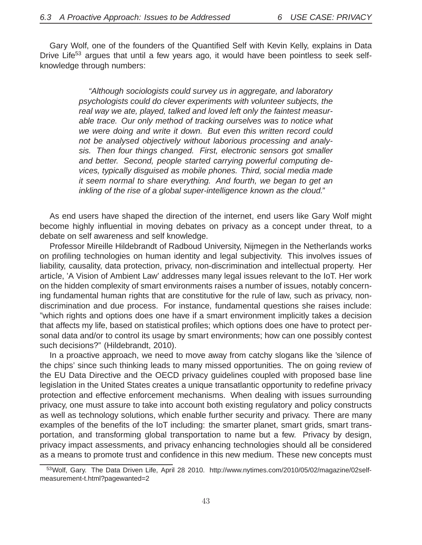Gary Wolf, one of the founders of the Quantified Self with Kevin Kelly, explains in Data Drive Life<sup>53</sup> argues that until a few years ago, it would have been pointless to seek selfknowledge through numbers:

> "Although sociologists could survey us in aggregate, and laboratory psychologists could do clever experiments with volunteer subjects, the real way we ate, played, talked and loved left only the faintest measurable trace. Our only method of tracking ourselves was to notice what we were doing and write it down. But even this written record could not be analysed objectively without laborious processing and analysis. Then four things changed. First, electronic sensors got smaller and better. Second, people started carrying powerful computing devices, typically disguised as mobile phones. Third, social media made it seem normal to share everything. And fourth, we began to get an inkling of the rise of a global super-intelligence known as the cloud."

As end users have shaped the direction of the internet, end users like Gary Wolf might become highly influential in moving debates on privacy as a concept under threat, to a debate on self awareness and self knowledge.

Professor Mireille Hildebrandt of Radboud University, Nijmegen in the Netherlands works on profiling technologies on human identity and legal subjectivity. This involves issues of liability, causality, data protection, privacy, non-discrimination and intellectual property. Her article, 'A Vision of Ambient Law' addresses many legal issues relevant to the IoT. Her work on the hidden complexity of smart environments raises a number of issues, notably concerning fundamental human rights that are constitutive for the rule of law, such as privacy, nondiscrimination and due process. For instance, fundamental questions she raises include: "which rights and options does one have if a smart environment implicitly takes a decision that affects my life, based on statistical profiles; which options does one have to protect personal data and/or to control its usage by smart environments; how can one possibly contest such decisions?" (Hildebrandt, 2010).

In a proactive approach, we need to move away from catchy slogans like the 'silence of the chips' since such thinking leads to many missed opportunities. The on going review of the EU Data Directive and the OECD privacy guidelines coupled with proposed base line legislation in the United States creates a unique transatlantic opportunity to redefine privacy protection and effective enforcement mechanisms. When dealing with issues surrounding privacy, one must assure to take into account both existing regulatory and policy constructs as well as technology solutions, which enable further security and privacy. There are many examples of the benefits of the IoT including: the smarter planet, smart grids, smart transportation, and transforming global transportation to name but a few. Privacy by design, privacy impact assessments, and privacy enhancing technologies should all be considered as a means to promote trust and confidence in this new medium. These new concepts must

<sup>53</sup>Wolf, Gary. The Data Driven Life, April 28 2010. http://www.nytimes.com/2010/05/02/magazine/02selfmeasurement-t.html?pagewanted=2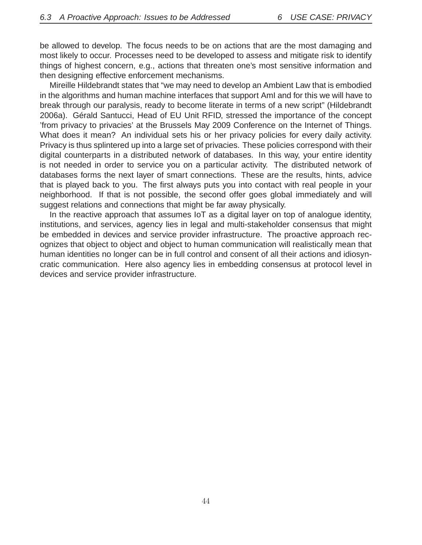be allowed to develop. The focus needs to be on actions that are the most damaging and most likely to occur. Processes need to be developed to assess and mitigate risk to identify things of highest concern, e.g., actions that threaten one's most sensitive information and then designing effective enforcement mechanisms.

Mireille Hildebrandt states that "we may need to develop an Ambient Law that is embodied in the algorithms and human machine interfaces that support AmI and for this we will have to break through our paralysis, ready to become literate in terms of a new script" (Hildebrandt 2006a). Gérald Santucci, Head of EU Unit RFID, stressed the importance of the concept 'from privacy to privacies' at the Brussels May 2009 Conference on the Internet of Things. What does it mean? An individual sets his or her privacy policies for every daily activity. Privacy is thus splintered up into a large set of privacies. These policies correspond with their digital counterparts in a distributed network of databases. In this way, your entire identity is not needed in order to service you on a particular activity. The distributed network of databases forms the next layer of smart connections. These are the results, hints, advice that is played back to you. The first always puts you into contact with real people in your neighborhood. If that is not possible, the second offer goes global immediately and will suggest relations and connections that might be far away physically.

In the reactive approach that assumes IoT as a digital layer on top of analogue identity, institutions, and services, agency lies in legal and multi-stakeholder consensus that might be embedded in devices and service provider infrastructure. The proactive approach recognizes that object to object and object to human communication will realistically mean that human identities no longer can be in full control and consent of all their actions and idiosyncratic communication. Here also agency lies in embedding consensus at protocol level in devices and service provider infrastructure.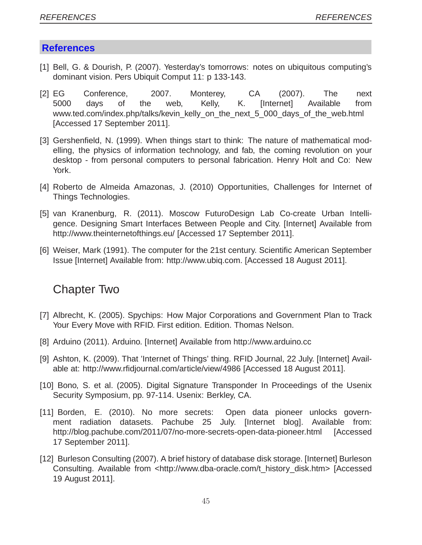#### **References**

- [1] Bell, G. & Dourish, P. (2007). Yesterday's tomorrows: notes on ubiquitous computing's dominant vision. Pers Ubiquit Comput 11: p 133-143.
- [2] EG Conference, 2007. Monterey, CA (2007). The next 5000 days of the web, Kelly, K. [Internet] Available from www.ted.com/index.php/talks/kevin\_kelly\_on\_the\_next\_5\_000\_days\_of\_the\_web.html [Accessed 17 September 2011].
- [3] Gershenfield, N. (1999). When things start to think: The nature of mathematical modelling, the physics of information technology, and fab, the coming revolution on your desktop - from personal computers to personal fabrication. Henry Holt and Co: New York.
- [4] Roberto de Almeida Amazonas, J. (2010) Opportunities, Challenges for Internet of Things Technologies.
- [5] van Kranenburg, R. (2011). Moscow FuturoDesign Lab Co-create Urban Intelligence. Designing Smart Interfaces Between People and City. [Internet] Available from http://www.theinternetofthings.eu/ [Accessed 17 September 2011].
- [6] Weiser, Mark (1991). The computer for the 21st century. Scientific American September Issue [Internet] Available from: http://www.ubiq.com. [Accessed 18 August 2011].

## Chapter Two

- [7] Albrecht, K. (2005). Spychips: How Major Corporations and Government Plan to Track Your Every Move with RFID. First edition. Edition. Thomas Nelson.
- [8] Arduino (2011). Arduino. [Internet] Available from http://www.arduino.cc
- [9] Ashton, K. (2009). That 'Internet of Things' thing. RFID Journal, 22 July. [Internet] Available at: http://www.rfidjournal.com/article/view/4986 [Accessed 18 August 2011].
- [10] Bono, S. et al. (2005). Digital Signature Transponder In Proceedings of the Usenix Security Symposium, pp. 97-114. Usenix: Berkley, CA.
- [11] Borden, E. (2010). No more secrets: Open data pioneer unlocks government radiation datasets. Pachube 25 July. [Internet blog]. Available from: http://blog.pachube.com/2011/07/no-more-secrets-open-data-pioneer.html [Accessed 17 September 2011].
- [12] Burleson Consulting (2007). A brief history of database disk storage. [Internet] Burleson Consulting. Available from <http://www.dba-oracle.com/t\_history\_disk.htm> [Accessed 19 August 2011].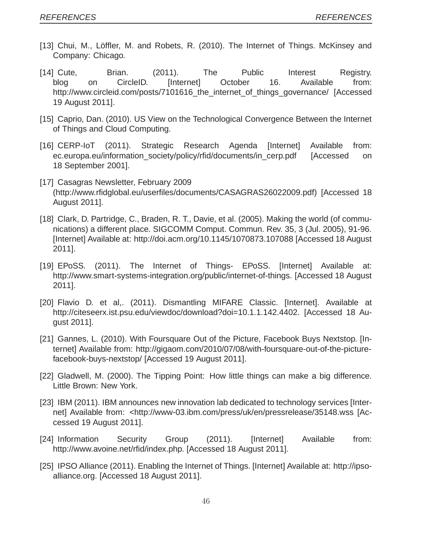- [13] Chui, M., Löffler, M. and Robets, R. (2010). The Internet of Things. McKinsey and Company: Chicago.
- [14] Cute, Brian. (2011). The Public Interest Registry. blog on CircleID. [Internet] October 16. Available from: http://www.circleid.com/posts/7101616\_the\_internet\_of\_things\_governance/ [Accessed 19 August 2011].
- [15] Caprio, Dan. (2010). US View on the Technological Convergence Between the Internet of Things and Cloud Computing.
- [16] CERP-IoT (2011). Strategic Research Agenda [Internet] Available from: ec.europa.eu/information\_society/policy/rfid/documents/in\_cerp.pdf [Accessed on 18 September 2001].
- [17] Casagras Newsletter, February 2009 (http://www.rfidglobal.eu/userfiles/documents/CASAGRAS26022009.pdf) [Accessed 18 August 2011].
- [18] Clark, D. Partridge, C., Braden, R. T., Davie, et al. (2005). Making the world (of communications) a different place. SIGCOMM Comput. Commun. Rev. 35, 3 (Jul. 2005), 91-96. [Internet] Available at: http://doi.acm.org/10.1145/1070873.107088 [Accessed 18 August 2011].
- [19] EPoSS. (2011). The Internet of Things- EPoSS. [Internet] Available at: http://www.smart-systems-integration.org/public/internet-of-things. [Accessed 18 August 2011].
- [20] Flavio D. et al,. (2011). Dismantling MIFARE Classic. [Internet]. Available at http://citeseerx.ist.psu.edu/viewdoc/download?doi=10.1.1.142.4402. [Accessed 18 August 2011].
- [21] Gannes, L. (2010). With Foursquare Out of the Picture, Facebook Buys Nextstop. [Internet] Available from: http://gigaom.com/2010/07/08/with-foursquare-out-of-the-picturefacebook-buys-nextstop/ [Accessed 19 August 2011].
- [22] Gladwell, M. (2000). The Tipping Point: How little things can make a big difference. Little Brown: New York.
- [23] IBM (2011). IBM announces new innovation lab dedicated to technology services [Internet] Available from: <http://www-03.ibm.com/press/uk/en/pressrelease/35148.wss [Accessed 19 August 2011].
- [24] Information Security Group (2011). [Internet] Available from: http://www.avoine.net/rfid/index.php. [Accessed 18 August 2011].
- [25] IPSO Alliance (2011). Enabling the Internet of Things. [Internet] Available at: http://ipsoalliance.org. [Accessed 18 August 2011].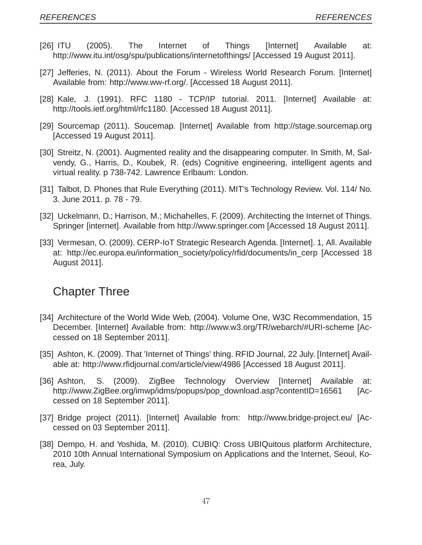- [26] ITU (2005). The Internet of Things [Internet] Available at: http://www.itu.int/osg/spu/publications/internetofthings/ [Accessed 19 August 2011].
- [27] Jefferies, N. (2011). About the Forum Wireless World Research Forum. [Internet] Available from: http://www.ww-rf.org/. [Accessed 18 August 2011].
- [28] Kale, J. (1991). RFC 1180 TCP/IP tutorial. 2011. [Internet] Available at: http://tools.ietf.org/html/rfc1180. [Accessed 18 August 2011].
- [29] Sourcemap (2011). Soucemap. [Internet] Available from http://stage.sourcemap.org [Accessed 19 August 2011].
- [30] Streitz, N. (2001). Augmented reality and the disappearing computer. In Smith, M, Salvendy, G., Harris, D., Koubek, R. (eds) Cognitive engineering, intelligent agents and virtual reality. p 738-742. Lawrence Erlbaum: London.
- [31] Talbot, D. Phones that Rule Everything (2011). MIT's Technology Review. Vol. 114/ No. 3. June 2011. p. 78 - 79.
- [32] Uckelmann, D.; Harrison, M.; Michahelles, F. (2009). Architecting the Internet of Things. Springer [internet]. Available from http://www.springer.com [Accessed 18 August 2011].
- [33] Vermesan, O. (2009). CERP-IoT Strategic Research Agenda. [Internet]. 1, All. Available at: http://ec.europa.eu/information\_society/policy/rfid/documents/in\_cerp [Accessed 18 August 2011].

# Chapter Three

- [34] Architecture of the World Wide Web, (2004). Volume One, W3C Recommendation, 15 December. [Internet] Available from: http://www.w3.org/TR/webarch/#URI-scheme [Accessed on 18 September 2011].
- [35] Ashton, K. (2009). That 'Internet of Things' thing. RFID Journal, 22 July. [Internet] Available at: http://www.rfidjournal.com/article/view/4986 [Accessed 18 August 2011].
- [36] Ashton, S. (2009). ZigBee Technology Overview [Internet] Available at: http://www.ZigBee.org/imwp/idms/popups/pop\_download.asp?contentID=16561 [Accessed on 18 September 2011].
- [37] Bridge project (2011). [Internet] Available from: http://www.bridge-project.eu/ [Accessed on 03 September 2011].
- [38] Dempo, H. and Yoshida, M. (2010). CUBIQ: Cross UBIQuitous platform Architecture, 2010 10th Annual International Symposium on Applications and the Internet, Seoul, Korea, July.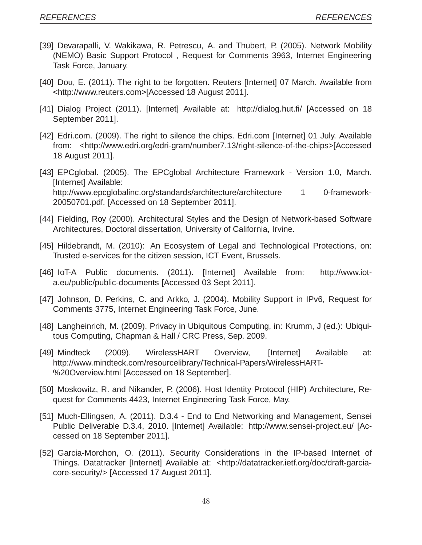- [39] Devarapalli, V. Wakikawa, R. Petrescu, A. and Thubert, P. (2005). Network Mobility (NEMO) Basic Support Protocol , Request for Comments 3963, Internet Engineering Task Force, January.
- [40] Dou, E. (2011). The right to be forgotten. Reuters [Internet] 07 March. Available from <http://www.reuters.com>[Accessed 18 August 2011].
- [41] Dialog Project (2011). [Internet] Available at: http://dialog.hut.fi/ [Accessed on 18 September 2011].
- [42] Edri.com. (2009). The right to silence the chips. Edri.com [Internet] 01 July. Available from: <http://www.edri.org/edri-gram/number7.13/right-silence-of-the-chips>[Accessed 18 August 2011].
- [43] EPCglobal. (2005). The EPCglobal Architecture Framework Version 1.0, March. [Internet] Available: http://www.epcglobalinc.org/standards/architecture/architecture 1 0-framework-20050701.pdf. [Accessed on 18 September 2011].
- [44] Fielding, Roy (2000). Architectural Styles and the Design of Network-based Software Architectures, Doctoral dissertation, University of California, Irvine.
- [45] Hildebrandt, M. (2010): An Ecosystem of Legal and Technological Protections, on: Trusted e-services for the citizen session, ICT Event, Brussels.
- [46] IoT-A Public documents. (2011). [Internet] Available from: http://www.iota.eu/public/public-documents [Accessed 03 Sept 2011].
- [47] Johnson, D. Perkins, C. and Arkko, J. (2004). Mobility Support in IPv6, Request for Comments 3775, Internet Engineering Task Force, June.
- [48] Langheinrich, M. (2009). Privacy in Ubiquitous Computing, in: Krumm, J (ed.): Ubiquitous Computing, Chapman & Hall / CRC Press, Sep. 2009.
- [49] Mindteck (2009). WirelessHART Overview, [Internet] Available at: http://www.mindteck.com/resourcelibrary/Technical-Papers/WirelessHART- %20Overview.html [Accessed on 18 September].
- [50] Moskowitz, R. and Nikander, P. (2006). Host Identity Protocol (HIP) Architecture, Request for Comments 4423, Internet Engineering Task Force, May.
- [51] Much-Ellingsen, A. (2011). D.3.4 End to End Networking and Management, Sensei Public Deliverable D.3.4, 2010. [Internet] Available: http://www.sensei-project.eu/ [Accessed on 18 September 2011].
- [52] Garcia-Morchon, O. (2011). Security Considerations in the IP-based Internet of Things. Datatracker [Internet] Available at: <http://datatracker.ietf.org/doc/draft-garciacore-security/> [Accessed 17 August 2011].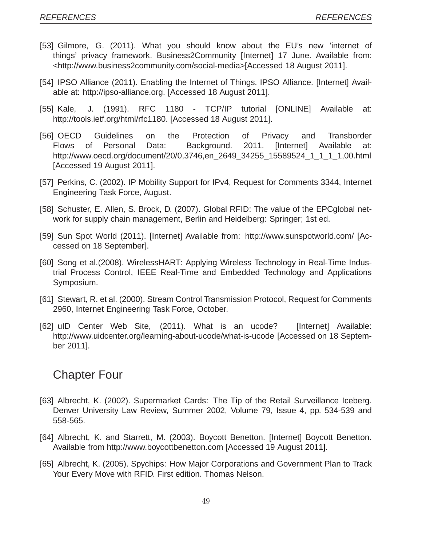- [53] Gilmore, G. (2011). What you should know about the EU's new 'internet of things' privacy framework. Business2Community [Internet] 17 June. Available from: <http://www.business2community.com/social-media>[Accessed 18 August 2011].
- [54] IPSO Alliance (2011). Enabling the Internet of Things. IPSO Alliance. [Internet] Available at: http://ipso-alliance.org. [Accessed 18 August 2011].
- [55] Kale, J. (1991). RFC 1180 TCP/IP tutorial [ONLINE] Available at: http://tools.ietf.org/html/rfc1180. [Accessed 18 August 2011].
- [56] OECD Guidelines on the Protection of Privacy and Transborder Flows of Personal Data: Background. 2011. [Internet] Available at: http://www.oecd.org/document/20/0,3746,en\_2649\_34255\_15589524\_1\_1\_1\_1,00.html [Accessed 19 August 2011].
- [57] Perkins, C. (2002). IP Mobility Support for IPv4, Request for Comments 3344, Internet Engineering Task Force, August.
- [58] Schuster, E. Allen, S. Brock, D. (2007). Global RFID: The value of the EPCglobal network for supply chain management, Berlin and Heidelberg: Springer; 1st ed.
- [59] Sun Spot World (2011). [Internet] Available from: http://www.sunspotworld.com/ [Accessed on 18 September].
- [60] Song et al.(2008). WirelessHART: Applying Wireless Technology in Real-Time Industrial Process Control, IEEE Real-Time and Embedded Technology and Applications Symposium.
- [61] Stewart, R. et al. (2000). Stream Control Transmission Protocol, Request for Comments 2960, Internet Engineering Task Force, October.
- [62] uID Center Web Site, (2011). What is an ucode? [Internet] Available: http://www.uidcenter.org/learning-about-ucode/what-is-ucode [Accessed on 18 September 2011].

## Chapter Four

- [63] Albrecht, K. (2002). Supermarket Cards: The Tip of the Retail Surveillance Iceberg. Denver University Law Review, Summer 2002, Volume 79, Issue 4, pp. 534-539 and 558-565.
- [64] Albrecht, K. and Starrett, M. (2003). Boycott Benetton. [Internet] Boycott Benetton. Available from http://www.boycottbenetton.com [Accessed 19 August 2011].
- [65] Albrecht, K. (2005). Spychips: How Major Corporations and Government Plan to Track Your Every Move with RFID. First edition. Thomas Nelson.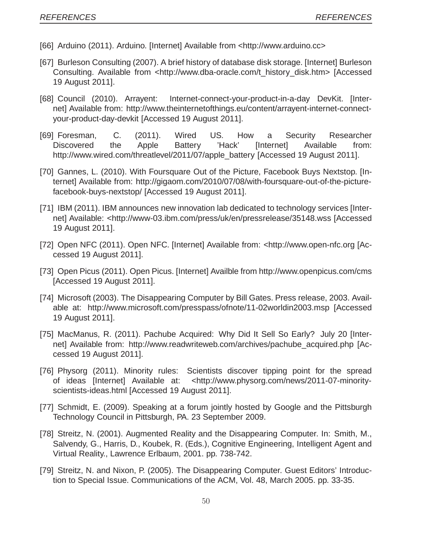- [66] Arduino (2011). Arduino. [Internet] Available from <http://www.arduino.cc>
- [67] Burleson Consulting (2007). A brief history of database disk storage. [Internet] Burleson Consulting. Available from <http://www.dba-oracle.com/t\_history\_disk.htm> [Accessed] 19 August 2011].
- [68] Council (2010). Arrayent: Internet-connect-your-product-in-a-day DevKit. [Internet] Available from: http://www.theinternetofthings.eu/content/arrayent-internet-connectyour-product-day-devkit [Accessed 19 August 2011].
- [69] Foresman, C. (2011). Wired US. How a Security Researcher Discovered the Apple Battery 'Hack' [Internet] Available from: http://www.wired.com/threatlevel/2011/07/apple\_battery [Accessed 19 August 2011].
- [70] Gannes, L. (2010). With Foursquare Out of the Picture, Facebook Buys Nextstop. [Internet] Available from: http://gigaom.com/2010/07/08/with-foursquare-out-of-the-picturefacebook-buys-nextstop/ [Accessed 19 August 2011].
- [71] IBM (2011). IBM announces new innovation lab dedicated to technology services [Internet] Available: <http://www-03.ibm.com/press/uk/en/pressrelease/35148.wss [Accessed 19 August 2011].
- [72] Open NFC (2011). Open NFC. [Internet] Available from: <http://www.open-nfc.org [Accessed 19 August 2011].
- [73] Open Picus (2011). Open Picus. [Internet] Availble from http://www.openpicus.com/cms [Accessed 19 August 2011].
- [74] Microsoft (2003). The Disappearing Computer by Bill Gates. Press release, 2003. Available at: http://www.microsoft.com/presspass/ofnote/11-02worldin2003.msp [Accessed 19 August 2011].
- [75] MacManus, R. (2011). Pachube Acquired: Why Did It Sell So Early? July 20 [Internet] Available from: http://www.readwriteweb.com/archives/pachube\_acquired.php [Accessed 19 August 2011].
- [76] Physorg (2011). Minority rules: Scientists discover tipping point for the spread of ideas [Internet] Available at: <http://www.physorg.com/news/2011-07-minorityscientists-ideas.html [Accessed 19 August 2011].
- [77] Schmidt, E. (2009). Speaking at a forum jointly hosted by Google and the Pittsburgh Technology Council in Pittsburgh, PA. 23 September 2009.
- [78] Streitz, N. (2001). Augmented Reality and the Disappearing Computer. In: Smith, M., Salvendy, G., Harris, D., Koubek, R. (Eds.), Cognitive Engineering, Intelligent Agent and Virtual Reality., Lawrence Erlbaum, 2001. pp. 738-742.
- [79] Streitz, N. and Nixon, P. (2005). The Disappearing Computer. Guest Editors' Introduction to Special Issue. Communications of the ACM, Vol. 48, March 2005. pp. 33-35.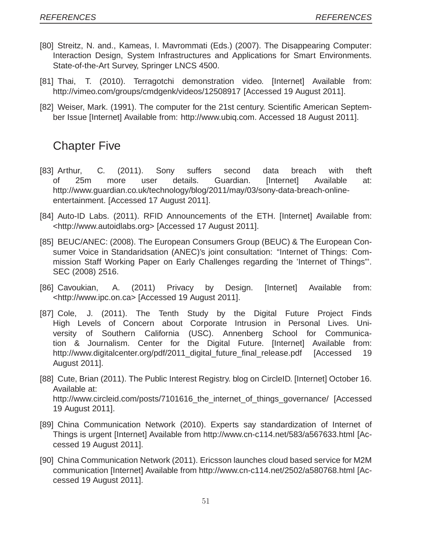- [80] Streitz, N. and., Kameas, I. Mavrommati (Eds.) (2007). The Disappearing Computer: Interaction Design, System Infrastructures and Applications for Smart Environments. State-of-the-Art Survey, Springer LNCS 4500.
- [81] Thai, T. (2010). Terragotchi demonstration video. [Internet] Available from: http://vimeo.com/groups/cmdgenk/videos/12508917 [Accessed 19 August 2011].
- [82] Weiser, Mark. (1991). The computer for the 21st century. Scientific American September Issue [Internet] Available from: http://www.ubiq.com. Accessed 18 August 2011].

# Chapter Five

- [83] Arthur, C. (2011). Sony suffers second data breach with theft of 25m more user details. Guardian. [Internet] Available at: http://www.guardian.co.uk/technology/blog/2011/may/03/sony-data-breach-onlineentertainment. [Accessed 17 August 2011].
- [84] Auto-ID Labs. (2011). RFID Announcements of the ETH. [Internet] Available from: <http://www.autoidlabs.org> [Accessed 17 August 2011].
- [85] BEUC/ANEC: (2008). The European Consumers Group (BEUC) & The European Consumer Voice in Standaridsation (ANEC)'s joint consultation: "Internet of Things: Commission Staff Working Paper on Early Challenges regarding the 'Internet of Things"'. SEC (2008) 2516.
- [86] Cavoukian, A. (2011) Privacy by Design. [Internet] Available from: <http://www.ipc.on.ca> [Accessed 19 August 2011].
- [87] Cole, J. (2011). The Tenth Study by the Digital Future Project Finds High Levels of Concern about Corporate Intrusion in Personal Lives. University of Southern California (USC). Annenberg School for Communication & Journalism. Center for the Digital Future. [Internet] Available from: http://www.digitalcenter.org/pdf/2011\_digital\_future\_final\_release.pdf [Accessed 19 August 2011].
- [88] Cute, Brian (2011). The Public Interest Registry. blog on CircleID. [Internet] October 16. Available at: http://www.circleid.com/posts/7101616 the internet of things governance/ [Accessed 19 August 2011].
- [89] China Communication Network (2010). Experts say standardization of Internet of Things is urgent [Internet] Available from http://www.cn-c114.net/583/a567633.html [Accessed 19 August 2011].
- [90] China Communication Network (2011). Ericsson launches cloud based service for M2M communication [Internet] Available from http://www.cn-c114.net/2502/a580768.html [Accessed 19 August 2011].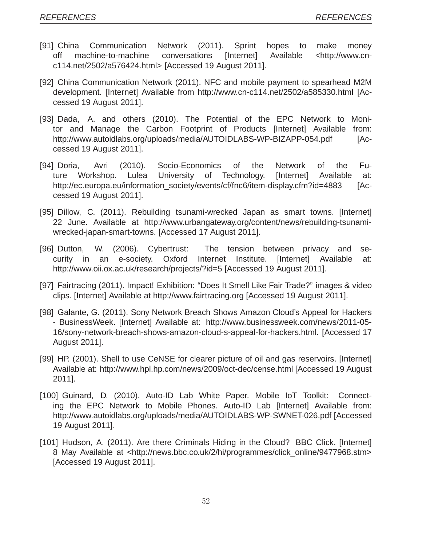- [91] China Communication Network (2011). Sprint hopes to make money off machine-to-machine conversations [Internet] Available <http://www.cnc114.net/2502/a576424.html> [Accessed 19 August 2011].
- [92] China Communication Network (2011). NFC and mobile payment to spearhead M2M development. [Internet] Available from http://www.cn-c114.net/2502/a585330.html [Accessed 19 August 2011].
- [93] Dada, A. and others (2010). The Potential of the EPC Network to Monitor and Manage the Carbon Footprint of Products [Internet] Available from: http://www.autoidlabs.org/uploads/media/AUTOIDLABS-WP-BIZAPP-054.pdf [Accessed 19 August 2011].
- [94] Doria, Avri (2010). Socio-Economics of the Network of the Future Workshop. Lulea University of Technology. [Internet] Available at: http://ec.europa.eu/information\_society/events/cf/fnc6/item-display.cfm?id=4883 [Accessed 19 August 2011].
- [95] Dillow, C. (2011). Rebuilding tsunami-wrecked Japan as smart towns. [Internet] 22 June. Available at http://www.urbangateway.org/content/news/rebuilding-tsunamiwrecked-japan-smart-towns. [Accessed 17 August 2011].
- [96] Dutton, W. (2006). Cybertrust: The tension between privacy and security in an e-society. Oxford Internet Institute. [Internet] Available at: http://www.oii.ox.ac.uk/research/projects/?id=5 [Accessed 19 August 2011].
- [97] Fairtracing (2011). Impact! Exhibition: "Does It Smell Like Fair Trade?" images & video clips. [Internet] Available at http://www.fairtracing.org [Accessed 19 August 2011].
- [98] Galante, G. (2011). Sony Network Breach Shows Amazon Cloud's Appeal for Hackers - BusinessWeek. [Internet] Available at: http://www.businessweek.com/news/2011-05- 16/sony-network-breach-shows-amazon-cloud-s-appeal-for-hackers.html. [Accessed 17 August 2011].
- [99] HP. (2001). Shell to use CeNSE for clearer picture of oil and gas reservoirs. [Internet] Available at: http://www.hpl.hp.com/news/2009/oct-dec/cense.html [Accessed 19 August 2011].
- [100] Guinard, D. (2010). Auto-ID Lab White Paper. Mobile IoT Toolkit: Connecting the EPC Network to Mobile Phones. Auto-ID Lab [Internet] Available from: http://www.autoidlabs.org/uploads/media/AUTOIDLABS-WP-SWNET-026.pdf [Accessed 19 August 2011].
- [101] Hudson, A. (2011). Are there Criminals Hiding in the Cloud? BBC Click. [Internet] 8 May Available at <http://news.bbc.co.uk/2/hi/programmes/click\_online/9477968.stm> [Accessed 19 August 2011].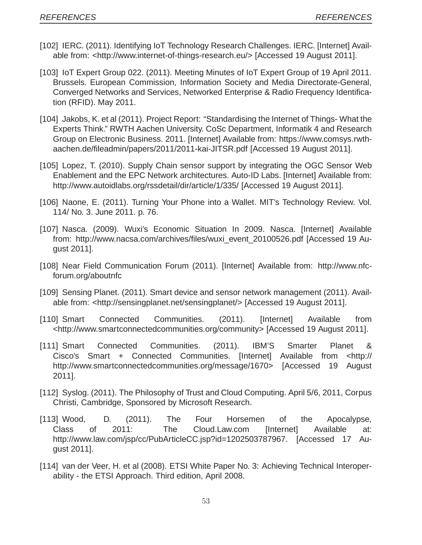- [102] IERC. (2011). Identifying IoT Technology Research Challenges. IERC. [Internet] Available from: <http://www.internet-of-things-research.eu/> [Accessed 19 August 2011].
- [103] IoT Expert Group 022. (2011). Meeting Minutes of IoT Expert Group of 19 April 2011. Brussels. European Commission, Information Society and Media Directorate-General, Converged Networks and Services, Networked Enterprise & Radio Frequency Identification (RFID). May 2011.
- [104] Jakobs, K. et al (2011). Project Report: "Standardising the Internet of Things- What the Experts Think." RWTH Aachen University. CoSc Department, Informatik 4 and Research Group on Electronic Business. 2011. [Internet] Available from: https://www.comsys.rwthaachen.de/fileadmin/papers/2011/2011-kai-JITSR.pdf [Accessed 19 August 2011].
- [105] Lopez, T. (2010). Supply Chain sensor support by integrating the OGC Sensor Web Enablement and the EPC Network architectures. Auto-ID Labs. [Internet] Available from: http://www.autoidlabs.org/rssdetail/dir/article/1/335/ [Accessed 19 August 2011].
- [106] Naone, E. (2011). Turning Your Phone into a Wallet. MIT's Technology Review. Vol. 114/ No. 3. June 2011. p. 76.
- [107] Nasca. (2009). Wuxi's Economic Situation In 2009. Nasca. [Internet] Available from: http://www.nacsa.com/archives/files/wuxi\_event\_20100526.pdf [Accessed 19 August 2011].
- [108] Near Field Communication Forum (2011). [Internet] Available from: http://www.nfcforum.org/aboutnfc
- [109] Sensing Planet. (2011). Smart device and sensor network management (2011). Available from: <http://sensingplanet.net/sensingplanet/> [Accessed 19 August 2011].
- [110] Smart Connected Communities. (2011). [Internet] Available from <http://www.smartconnectedcommunities.org/community> [Accessed 19 August 2011].
- [111] Smart Connected Communities. (2011). IBM'S Smarter Planet & Cisco's Smart + Connected Communities. [Internet] Available from <http:// http://www.smartconnectedcommunities.org/message/1670> [Accessed 19 August 2011].
- [112] Syslog. (2011). The Philosophy of Trust and Cloud Computing. April 5/6, 2011, Corpus Christi, Cambridge, Sponsored by Microsoft Research.
- [113] Wood, D. (2011). The Four Horsemen of the Apocalypse, Class of 2011: The Cloud.Law.com [Internet] Available at: http://www.law.com/jsp/cc/PubArticleCC.jsp?id=1202503787967. [Accessed 17 August 2011].
- [114] van der Veer, H. et al (2008). ETSI White Paper No. 3: Achieving Technical Interoperability - the ETSI Approach. Third edition, April 2008.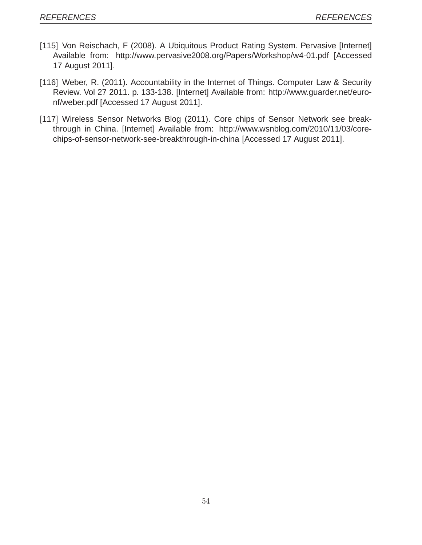- [115] Von Reischach, F (2008). A Ubiquitous Product Rating System. Pervasive [Internet] Available from: http://www.pervasive2008.org/Papers/Workshop/w4-01.pdf [Accessed 17 August 2011].
- [116] Weber, R. (2011). Accountability in the Internet of Things. Computer Law & Security Review. Vol 27 2011. p. 133-138. [Internet] Available from: http://www.guarder.net/euronf/weber.pdf [Accessed 17 August 2011].
- [117] Wireless Sensor Networks Blog (2011). Core chips of Sensor Network see breakthrough in China. [Internet] Available from: http://www.wsnblog.com/2010/11/03/corechips-of-sensor-network-see-breakthrough-in-china [Accessed 17 August 2011].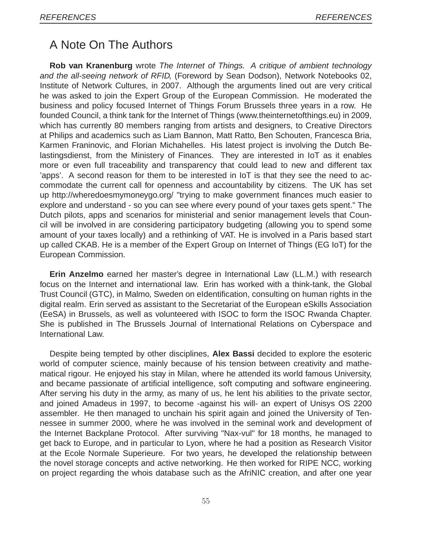## A Note On The Authors

**Rob van Kranenburg** wrote The Internet of Things. A critique of ambient technology and the all-seeing network of RFID, (Foreword by Sean Dodson), Network Notebooks 02, Institute of Network Cultures, in 2007. Although the arguments lined out are very critical he was asked to join the Expert Group of the European Commission. He moderated the business and policy focused Internet of Things Forum Brussels three years in a row. He founded Council, a think tank for the Internet of Things (www.theinternetofthings.eu) in 2009, which has currently 80 members ranging from artists and designers, to Creative Directors at Philips and academics such as Liam Bannon, Matt Ratto, Ben Schouten, Francesca Bria, Karmen Franinovic, and Florian Michahelles. His latest project is involving the Dutch Belastingsdienst, from the Ministery of Finances. They are interested in IoT as it enables more or even full traceability and transparency that could lead to new and different tax 'apps'. A second reason for them to be interested in IoT is that they see the need to accommodate the current call for openness and accountability by citizens. The UK has set up http://wheredoesmymoneygo.org/ "trying to make government finances much easier to explore and understand - so you can see where every pound of your taxes gets spent." The Dutch pilots, apps and scenarios for ministerial and senior management levels that Council will be involved in are considering participatory budgeting (allowing you to spend some amount of your taxes locally) and a rethinking of VAT. He is involved in a Paris based start up called CKAB. He is a member of the Expert Group on Internet of Things (EG IoT) for the European Commission.

**Erin Anzelmo** earned her master's degree in International Law (LL.M.) with research focus on the Internet and international law. Erin has worked with a think-tank, the Global Trust Council (GTC), in Malmo, Sweden on eIdentification, consulting on human rights in the digital realm. Erin served as assistant to the Secretariat of the European eSkills Association (EeSA) in Brussels, as well as volunteered with ISOC to form the ISOC Rwanda Chapter. She is published in The Brussels Journal of International Relations on Cyberspace and International Law.

Despite being tempted by other disciplines, **Alex Bassi** decided to explore the esoteric world of computer science, mainly because of his tension between creativity and mathematical rigour. He enjoyed his stay in Milan, where he attended its world famous University, and became passionate of artificial intelligence, soft computing and software engineering. After serving his duty in the army, as many of us, he lent his abilities to the private sector, and joined Amadeus in 1997, to become -against his will- an expert of Unisys OS 2200 assembler. He then managed to unchain his spirit again and joined the University of Tennessee in summer 2000, where he was involved in the seminal work and development of the Internet Backplane Protocol. After surviving "Nax-vul" for 18 months, he managed to get back to Europe, and in particular to Lyon, where he had a position as Research Visitor at the Ecole Normale Superieure. For two years, he developed the relationship between the novel storage concepts and active networking. He then worked for RIPE NCC, working on project regarding the whois database such as the AfriNIC creation, and after one year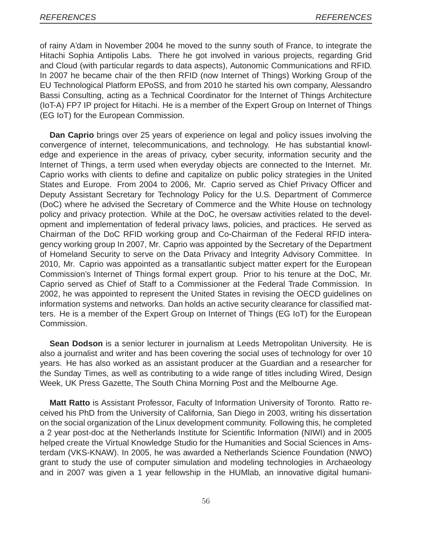of rainy A'dam in November 2004 he moved to the sunny south of France, to integrate the Hitachi Sophia Antipolis Labs. There he got involved in various projects, regarding Grid and Cloud (with particular regards to data aspects), Autonomic Communications and RFID. In 2007 he became chair of the then RFID (now Internet of Things) Working Group of the EU Technological Platform EPoSS, and from 2010 he started his own company, Alessandro Bassi Consulting, acting as a Technical Coordinator for the Internet of Things Architecture (IoT-A) FP7 IP project for Hitachi. He is a member of the Expert Group on Internet of Things (EG IoT) for the European Commission.

**Dan Caprio** brings over 25 years of experience on legal and policy issues involving the convergence of internet, telecommunications, and technology. He has substantial knowledge and experience in the areas of privacy, cyber security, information security and the Internet of Things, a term used when everyday objects are connected to the Internet. Mr. Caprio works with clients to define and capitalize on public policy strategies in the United States and Europe. From 2004 to 2006, Mr. Caprio served as Chief Privacy Officer and Deputy Assistant Secretary for Technology Policy for the U.S. Department of Commerce (DoC) where he advised the Secretary of Commerce and the White House on technology policy and privacy protection. While at the DoC, he oversaw activities related to the development and implementation of federal privacy laws, policies, and practices. He served as Chairman of the DoC RFID working group and Co-Chairman of the Federal RFID interagency working group In 2007, Mr. Caprio was appointed by the Secretary of the Department of Homeland Security to serve on the Data Privacy and Integrity Advisory Committee. In 2010, Mr. Caprio was appointed as a transatlantic subject matter expert for the European Commission's Internet of Things formal expert group. Prior to his tenure at the DoC, Mr. Caprio served as Chief of Staff to a Commissioner at the Federal Trade Commission. In 2002, he was appointed to represent the United States in revising the OECD guidelines on information systems and networks. Dan holds an active security clearance for classified matters. He is a member of the Expert Group on Internet of Things (EG IoT) for the European Commission.

**Sean Dodson** is a senior lecturer in journalism at Leeds Metropolitan University. He is also a journalist and writer and has been covering the social uses of technology for over 10 years. He has also worked as an assistant producer at the Guardian and a researcher for the Sunday Times, as well as contributing to a wide range of titles including Wired, Design Week, UK Press Gazette, The South China Morning Post and the Melbourne Age.

**Matt Ratto** is Assistant Professor, Faculty of Information University of Toronto. Ratto received his PhD from the University of California, San Diego in 2003, writing his dissertation on the social organization of the Linux development community. Following this, he completed a 2 year post-doc at the Netherlands Institute for Scientific Information (NIWI) and in 2005 helped create the Virtual Knowledge Studio for the Humanities and Social Sciences in Amsterdam (VKS-KNAW). In 2005, he was awarded a Netherlands Science Foundation (NWO) grant to study the use of computer simulation and modeling technologies in Archaeology and in 2007 was given a 1 year fellowship in the HUMlab, an innovative digital humani